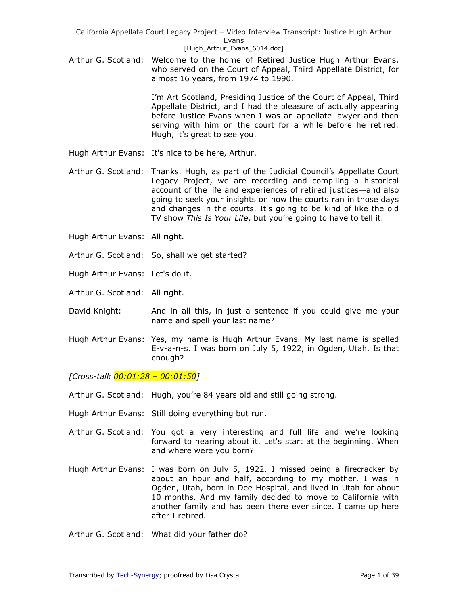Arthur G. Scotland: Welcome to the home of Retired Justice Hugh Arthur Evans, who served on the Court of Appeal, Third Appellate District, for almost 16 years, from 1974 to 1990.

> I'm Art Scotland, Presiding Justice of the Court of Appeal, Third Appellate District, and I had the pleasure of actually appearing before Justice Evans when I was an appellate lawyer and then serving with him on the court for a while before he retired. Hugh, it's great to see you.

- Hugh Arthur Evans: It's nice to be here, Arthur.
- Arthur G. Scotland: Thanks. Hugh, as part of the Judicial Council's Appellate Court Legacy Project, we are recording and compiling a historical account of the life and experiences of retired justices—and also going to seek your insights on how the courts ran in those days and changes in the courts. It's going to be kind of like the old TV show *This Is Your Life*, but you're going to have to tell it.
- Hugh Arthur Evans: All right.
- Arthur G. Scotland: So, shall we get started?
- Hugh Arthur Evans: Let's do it.
- Arthur G. Scotland: All right.
- David Knight: And in all this, in just a sentence if you could give me your name and spell your last name?
- Hugh Arthur Evans: Yes, my name is Hugh Arthur Evans. My last name is spelled E-v-a-n-s. I was born on July 5, 1922, in Ogden, Utah. Is that enough?

*[Cross-talk 00:01:28 – 00:01:50]* 

- Arthur G. Scotland: Hugh, you're 84 years old and still going strong.
- Hugh Arthur Evans: Still doing everything but run.
- Arthur G. Scotland: You got a very interesting and full life and we're looking forward to hearing about it. Let's start at the beginning. When and where were you born?
- Hugh Arthur Evans: I was born on July 5, 1922. I missed being a firecracker by about an hour and half, according to my mother. I was in Ogden, Utah, born in Dee Hospital, and lived in Utah for about 10 months. And my family decided to move to California with another family and has been there ever since. I came up here after I retired.

Arthur G. Scotland: What did your father do?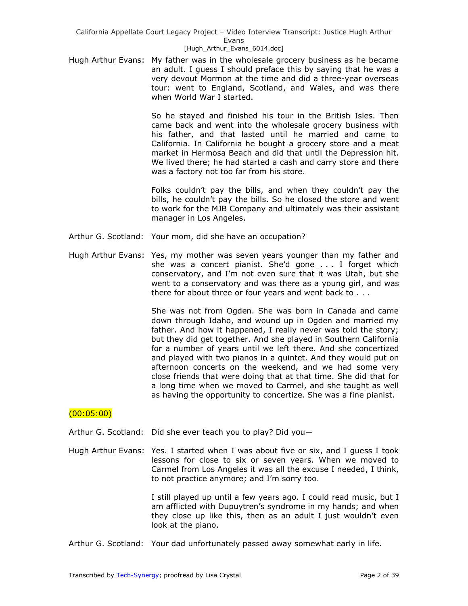Hugh Arthur Evans: My father was in the wholesale grocery business as he became an adult. I guess I should preface this by saying that he was a very devout Mormon at the time and did a three-year overseas tour: went to England, Scotland, and Wales, and was there when World War I started.

> So he stayed and finished his tour in the British Isles. Then came back and went into the wholesale grocery business with his father, and that lasted until he married and came to California. In California he bought a grocery store and a meat market in Hermosa Beach and did that until the Depression hit. We lived there; he had started a cash and carry store and there was a factory not too far from his store.

> Folks couldn't pay the bills, and when they couldn't pay the bills, he couldn't pay the bills. So he closed the store and went to work for the MJB Company and ultimately was their assistant manager in Los Angeles.

- Arthur G. Scotland: Your mom, did she have an occupation?
- Hugh Arthur Evans: Yes, my mother was seven years younger than my father and she was a concert pianist. She'd gone . . . I forget which conservatory, and I'm not even sure that it was Utah, but she went to a conservatory and was there as a young girl, and was there for about three or four years and went back to . . .

She was not from Ogden. She was born in Canada and came down through Idaho, and wound up in Ogden and married my father. And how it happened, I really never was told the story; but they did get together. And she played in Southern California for a number of years until we left there. And she concertized and played with two pianos in a quintet. And they would put on afternoon concerts on the weekend, and we had some very close friends that were doing that at that time. She did that for a long time when we moved to Carmel, and she taught as well as having the opportunity to concertize. She was a fine pianist.

## $(00:05:00)$

Arthur G. Scotland: Did she ever teach you to play? Did you—

Hugh Arthur Evans: Yes. I started when I was about five or six, and I guess I took lessons for close to six or seven years. When we moved to Carmel from Los Angeles it was all the excuse I needed, I think, to not practice anymore; and I'm sorry too.

> I still played up until a few years ago. I could read music, but I am afflicted with Dupuytren's syndrome in my hands; and when they close up like this, then as an adult I just wouldn't even look at the piano.

Arthur G. Scotland: Your dad unfortunately passed away somewhat early in life.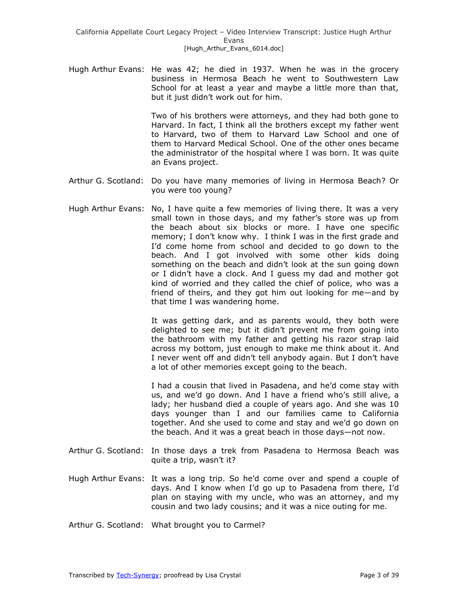Hugh Arthur Evans: He was 42; he died in 1937. When he was in the grocery business in Hermosa Beach he went to Southwestern Law School for at least a year and maybe a little more than that, but it just didn't work out for him.

> Two of his brothers were attorneys, and they had both gone to Harvard. In fact, I think all the brothers except my father went to Harvard, two of them to Harvard Law School and one of them to Harvard Medical School. One of the other ones became the administrator of the hospital where I was born. It was quite an Evans project.

- Arthur G. Scotland: Do you have many memories of living in Hermosa Beach? Or you were too young?
- Hugh Arthur Evans: No, I have quite a few memories of living there. It was a very small town in those days, and my father's store was up from the beach about six blocks or more. I have one specific memory; I don't know why. I think I was in the first grade and I'd come home from school and decided to go down to the beach. And I got involved with some other kids doing something on the beach and didn't look at the sun going down or I didn't have a clock. And I guess my dad and mother got kind of worried and they called the chief of police, who was a friend of theirs, and they got him out looking for me—and by that time I was wandering home.

It was getting dark, and as parents would, they both were delighted to see me; but it didn't prevent me from going into the bathroom with my father and getting his razor strap laid across my bottom, just enough to make me think about it. And I never went off and didn't tell anybody again. But I don't have a lot of other memories except going to the beach.

I had a cousin that lived in Pasadena, and he'd come stay with us, and we'd go down. And I have a friend who's still alive, a lady; her husband died a couple of years ago. And she was 10 days younger than I and our families came to California together. And she used to come and stay and we'd go down on the beach. And it was a great beach in those days—not now.

- Arthur G. Scotland: In those days a trek from Pasadena to Hermosa Beach was quite a trip, wasn't it?
- Hugh Arthur Evans: It was a long trip. So he'd come over and spend a couple of days. And I know when I'd go up to Pasadena from there, I'd plan on staying with my uncle, who was an attorney, and my cousin and two lady cousins; and it was a nice outing for me.

Arthur G. Scotland: What brought you to Carmel?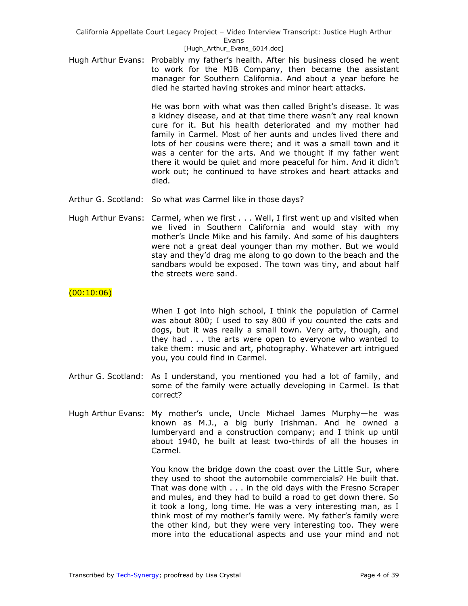### [Hugh\_Arthur\_Evans\_6014.doc]

Hugh Arthur Evans: Probably my father's health. After his business closed he went to work for the MJB Company, then became the assistant manager for Southern California. And about a year before he died he started having strokes and minor heart attacks.

> He was born with what was then called Bright's disease. It was a kidney disease, and at that time there wasn't any real known cure for it. But his health deteriorated and my mother had family in Carmel. Most of her aunts and uncles lived there and lots of her cousins were there; and it was a small town and it was a center for the arts. And we thought if my father went there it would be quiet and more peaceful for him. And it didn't work out; he continued to have strokes and heart attacks and died.

- Arthur G. Scotland: So what was Carmel like in those days?
- Hugh Arthur Evans: Carmel, when we first . . . Well, I first went up and visited when we lived in Southern California and would stay with my mother's Uncle Mike and his family. And some of his daughters were not a great deal younger than my mother. But we would stay and they'd drag me along to go down to the beach and the sandbars would be exposed. The town was tiny, and about half the streets were sand.

## $(00:10:06)$

When I got into high school, I think the population of Carmel was about 800; I used to say 800 if you counted the cats and dogs, but it was really a small town. Very arty, though, and they had . . . the arts were open to everyone who wanted to take them: music and art, photography. Whatever art intrigued you, you could find in Carmel.

- Arthur G. Scotland: As I understand, you mentioned you had a lot of family, and some of the family were actually developing in Carmel. Is that correct?
- Hugh Arthur Evans: My mother's uncle, Uncle Michael James Murphy—he was known as M.J., a big burly Irishman. And he owned a lumberyard and a construction company; and I think up until about 1940, he built at least two-thirds of all the houses in Carmel.

You know the bridge down the coast over the Little Sur, where they used to shoot the automobile commercials? He built that. That was done with . . . in the old days with the Fresno Scraper and mules, and they had to build a road to get down there. So it took a long, long time. He was a very interesting man, as I think most of my mother's family were. My father's family were the other kind, but they were very interesting too. They were more into the educational aspects and use your mind and not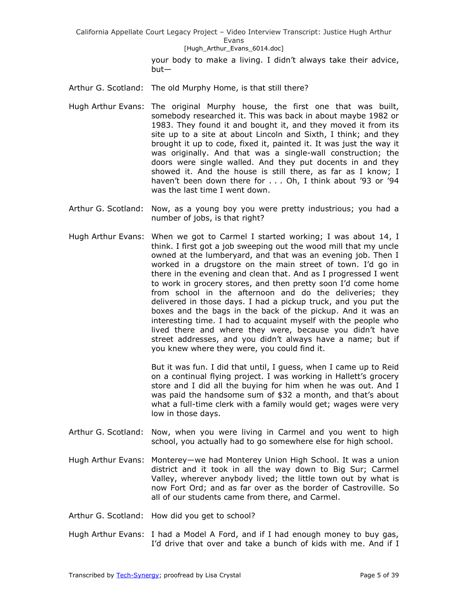#### [Hugh\_Arthur\_Evans\_6014.doc]

your body to make a living. I didn't always take their advice, but—

Arthur G. Scotland: The old Murphy Home, is that still there?

- Hugh Arthur Evans: The original Murphy house, the first one that was built, somebody researched it. This was back in about maybe 1982 or 1983. They found it and bought it, and they moved it from its site up to a site at about Lincoln and Sixth, I think; and they brought it up to code, fixed it, painted it. It was just the way it was originally. And that was a single-wall construction; the doors were single walled. And they put docents in and they showed it. And the house is still there, as far as I know; I haven't been down there for . . . Oh, I think about '93 or '94 was the last time I went down.
- Arthur G. Scotland: Now, as a young boy you were pretty industrious; you had a number of jobs, is that right?
- Hugh Arthur Evans: When we got to Carmel I started working; I was about 14, I think. I first got a job sweeping out the wood mill that my uncle owned at the lumberyard, and that was an evening job. Then I worked in a drugstore on the main street of town. I'd go in there in the evening and clean that. And as I progressed I went to work in grocery stores, and then pretty soon I'd come home from school in the afternoon and do the deliveries; they delivered in those days. I had a pickup truck, and you put the boxes and the bags in the back of the pickup. And it was an interesting time. I had to acquaint myself with the people who lived there and where they were, because you didn't have street addresses, and you didn't always have a name; but if you knew where they were, you could find it.

But it was fun. I did that until, I guess, when I came up to Reid on a continual flying project. I was working in Hallett's grocery store and I did all the buying for him when he was out. And I was paid the handsome sum of \$32 a month, and that's about what a full-time clerk with a family would get; wages were very low in those days.

- Arthur G. Scotland: Now, when you were living in Carmel and you went to high school, you actually had to go somewhere else for high school.
- Hugh Arthur Evans: Monterey—we had Monterey Union High School. It was a union district and it took in all the way down to Big Sur; Carmel Valley, wherever anybody lived; the little town out by what is now Fort Ord; and as far over as the border of Castroville. So all of our students came from there, and Carmel.
- Arthur G. Scotland: How did you get to school?
- Hugh Arthur Evans: I had a Model A Ford, and if I had enough money to buy gas, I'd drive that over and take a bunch of kids with me. And if I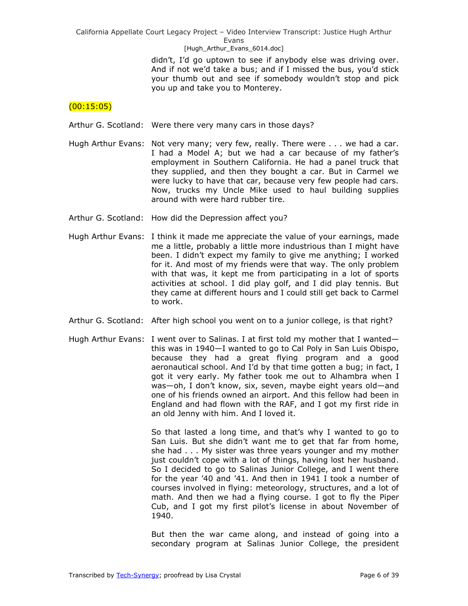[Hugh\_Arthur\_Evans\_6014.doc]

didn't, I'd go uptown to see if anybody else was driving over. And if not we'd take a bus; and if I missed the bus, you'd stick your thumb out and see if somebody wouldn't stop and pick you up and take you to Monterey.

## $(00:15:05)$

Arthur G. Scotland: Were there very many cars in those days?

- Hugh Arthur Evans: Not very many; very few, really. There were . . . we had a car. I had a Model A; but we had a car because of my father's employment in Southern California. He had a panel truck that they supplied, and then they bought a car. But in Carmel we were lucky to have that car, because very few people had cars. Now, trucks my Uncle Mike used to haul building supplies around with were hard rubber tire.
- Arthur G. Scotland: How did the Depression affect you?
- Hugh Arthur Evans: I think it made me appreciate the value of your earnings, made me a little, probably a little more industrious than I might have been. I didn't expect my family to give me anything; I worked for it. And most of my friends were that way. The only problem with that was, it kept me from participating in a lot of sports activities at school. I did play golf, and I did play tennis. But they came at different hours and I could still get back to Carmel to work.
- Arthur G. Scotland: After high school you went on to a junior college, is that right?
- Hugh Arthur Evans: I went over to Salinas. I at first told my mother that I wanted this was in 1940—I wanted to go to Cal Poly in San Luis Obispo, because they had a great flying program and a good aeronautical school. And I'd by that time gotten a bug; in fact, I got it very early. My father took me out to Alhambra when I was—oh, I don't know, six, seven, maybe eight years old—and one of his friends owned an airport. And this fellow had been in England and had flown with the RAF, and I got my first ride in an old Jenny with him. And I loved it.

So that lasted a long time, and that's why I wanted to go to San Luis. But she didn't want me to get that far from home, she had . . . My sister was three years younger and my mother just couldn't cope with a lot of things, having lost her husband. So I decided to go to Salinas Junior College, and I went there for the year '40 and '41. And then in 1941 I took a number of courses involved in flying: meteorology, structures, and a lot of math. And then we had a flying course. I got to fly the Piper Cub, and I got my first pilot's license in about November of 1940.

But then the war came along, and instead of going into a secondary program at Salinas Junior College, the president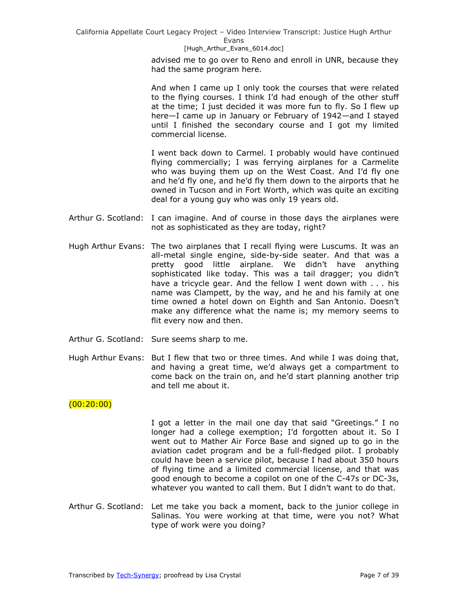#### [Hugh\_Arthur\_Evans\_6014.doc]

advised me to go over to Reno and enroll in UNR, because they had the same program here.

And when I came up I only took the courses that were related to the flying courses. I think I'd had enough of the other stuff at the time; I just decided it was more fun to fly. So I flew up here—I came up in January or February of 1942—and I stayed until I finished the secondary course and I got my limited commercial license.

I went back down to Carmel. I probably would have continued flying commercially; I was ferrying airplanes for a Carmelite who was buying them up on the West Coast. And I'd fly one and he'd fly one, and he'd fly them down to the airports that he owned in Tucson and in Fort Worth, which was quite an exciting deal for a young guy who was only 19 years old.

- Arthur G. Scotland: I can imagine. And of course in those days the airplanes were not as sophisticated as they are today, right?
- Hugh Arthur Evans: The two airplanes that I recall flying were Luscums. It was an all-metal single engine, side-by-side seater. And that was a pretty good little airplane. We didn't have anything sophisticated like today. This was a tail dragger; you didn't have a tricycle gear. And the fellow I went down with . . . his name was Clampett, by the way, and he and his family at one time owned a hotel down on Eighth and San Antonio. Doesn't make any difference what the name is; my memory seems to flit every now and then.
- Arthur G. Scotland: Sure seems sharp to me.
- Hugh Arthur Evans: But I flew that two or three times. And while I was doing that, and having a great time, we'd always get a compartment to come back on the train on, and he'd start planning another trip and tell me about it.

## $(00:20:00)$

I got a letter in the mail one day that said "Greetings." I no longer had a college exemption; I'd forgotten about it. So I went out to Mather Air Force Base and signed up to go in the aviation cadet program and be a full-fledged pilot. I probably could have been a service pilot, because I had about 350 hours of flying time and a limited commercial license, and that was good enough to become a copilot on one of the C-47s or DC-3s, whatever you wanted to call them. But I didn't want to do that.

Arthur G. Scotland: Let me take you back a moment, back to the junior college in Salinas. You were working at that time, were you not? What type of work were you doing?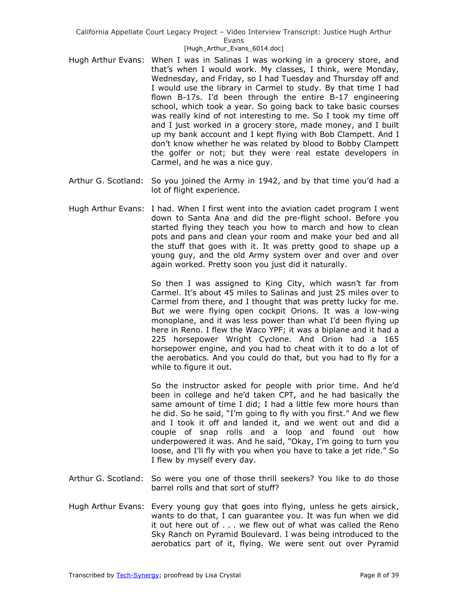#### [Hugh\_Arthur\_Evans\_6014.doc]

- Hugh Arthur Evans: When I was in Salinas I was working in a grocery store, and that's when I would work. My classes, I think, were Monday, Wednesday, and Friday, so I had Tuesday and Thursday off and I would use the library in Carmel to study. By that time I had flown B-17s. I'd been through the entire B-17 engineering school, which took a year. So going back to take basic courses was really kind of not interesting to me. So I took my time off and I just worked in a grocery store, made money, and I built up my bank account and I kept flying with Bob Clampett. And I don't know whether he was related by blood to Bobby Clampett the golfer or not; but they were real estate developers in Carmel, and he was a nice guy.
- Arthur G. Scotland: So you joined the Army in 1942, and by that time you'd had a lot of flight experience.
- Hugh Arthur Evans: I had. When I first went into the aviation cadet program I went down to Santa Ana and did the pre-flight school. Before you started flying they teach you how to march and how to clean pots and pans and clean your room and make your bed and all the stuff that goes with it. It was pretty good to shape up a young guy, and the old Army system over and over and over again worked. Pretty soon you just did it naturally.

So then I was assigned to King City, which wasn't far from Carmel. It's about 45 miles to Salinas and just 25 miles over to Carmel from there, and I thought that was pretty lucky for me. But we were flying open cockpit Orions. It was a low-wing monoplane, and it was less power than what I'd been flying up here in Reno. I flew the Waco YPF; it was a biplane and it had a 225 horsepower Wright Cyclone. And Orion had a 165 horsepower engine, and you had to cheat with it to do a lot of the aerobatics. And you could do that, but you had to fly for a while to figure it out.

So the instructor asked for people with prior time. And he'd been in college and he'd taken CPT, and he had basically the same amount of time I did; I had a little few more hours than he did. So he said, "I'm going to fly with you first." And we flew and I took it off and landed it, and we went out and did a couple of snap rolls and a loop and found out how underpowered it was. And he said, "Okay, I'm going to turn you loose, and I'll fly with you when you have to take a jet ride." So I flew by myself every day.

- Arthur G. Scotland: So were you one of those thrill seekers? You like to do those barrel rolls and that sort of stuff?
- Hugh Arthur Evans: Every young guy that goes into flying, unless he gets airsick, wants to do that, I can guarantee you. It was fun when we did it out here out of . . . we flew out of what was called the Reno Sky Ranch on Pyramid Boulevard. I was being introduced to the aerobatics part of it, flying. We were sent out over Pyramid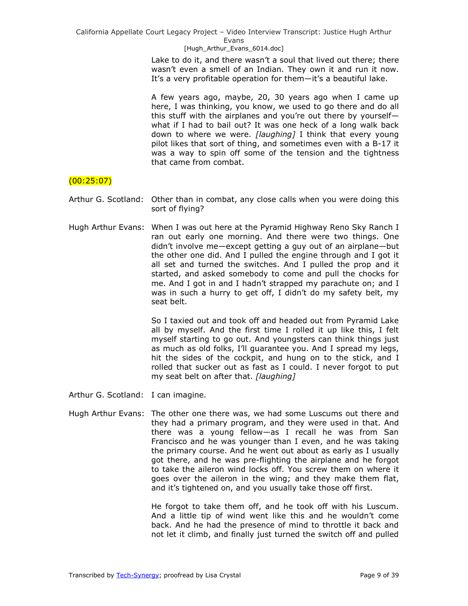[Hugh\_Arthur\_Evans\_6014.doc]

Lake to do it, and there wasn't a soul that lived out there; there wasn't even a smell of an Indian. They own it and run it now. It's a very profitable operation for them—it's a beautiful lake.

A few years ago, maybe, 20, 30 years ago when I came up here, I was thinking, you know, we used to go there and do all this stuff with the airplanes and you're out there by yourself what if I had to bail out? It was one heck of a long walk back down to where we were. *[laughing]* I think that every young pilot likes that sort of thing, and sometimes even with a B-17 it was a way to spin off some of the tension and the tightness that came from combat.

# $(00:25:07)$

Arthur G. Scotland: Other than in combat, any close calls when you were doing this sort of flying?

Hugh Arthur Evans: When I was out here at the Pyramid Highway Reno Sky Ranch I ran out early one morning. And there were two things. One didn't involve me—except getting a guy out of an airplane—but the other one did. And I pulled the engine through and I got it all set and turned the switches. And I pulled the prop and it started, and asked somebody to come and pull the chocks for me. And I got in and I hadn't strapped my parachute on; and I was in such a hurry to get off, I didn't do my safety belt, my seat belt.

> So I taxied out and took off and headed out from Pyramid Lake all by myself. And the first time I rolled it up like this, I felt myself starting to go out. And youngsters can think things just as much as old folks, I'll guarantee you. And I spread my legs, hit the sides of the cockpit, and hung on to the stick, and I rolled that sucker out as fast as I could. I never forgot to put my seat belt on after that. *[laughing]*

Arthur G. Scotland: I can imagine.

Hugh Arthur Evans: The other one there was, we had some Luscums out there and they had a primary program, and they were used in that. And there was a young fellow—as I recall he was from San Francisco and he was younger than I even, and he was taking the primary course. And he went out about as early as I usually got there, and he was pre-flighting the airplane and he forgot to take the aileron wind locks off. You screw them on where it goes over the aileron in the wing; and they make them flat, and it's tightened on, and you usually take those off first.

> He forgot to take them off, and he took off with his Luscum. And a little tip of wind went like this and he wouldn't come back. And he had the presence of mind to throttle it back and not let it climb, and finally just turned the switch off and pulled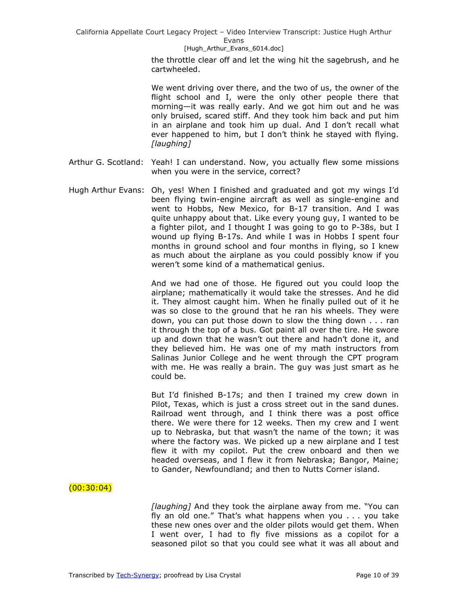#### [Hugh\_Arthur\_Evans\_6014.doc]

the throttle clear off and let the wing hit the sagebrush, and he cartwheeled.

We went driving over there, and the two of us, the owner of the flight school and I, were the only other people there that morning—it was really early. And we got him out and he was only bruised, scared stiff. And they took him back and put him in an airplane and took him up dual. And I don't recall what ever happened to him, but I don't think he stayed with flying. *[laughing]* 

- Arthur G. Scotland: Yeah! I can understand. Now, you actually flew some missions when you were in the service, correct?
- Hugh Arthur Evans: Oh, yes! When I finished and graduated and got my wings I'd been flying twin-engine aircraft as well as single-engine and went to Hobbs, New Mexico, for B-17 transition. And I was quite unhappy about that. Like every young guy, I wanted to be a fighter pilot, and I thought I was going to go to P-38s, but I wound up flying B-17s. And while I was in Hobbs I spent four months in ground school and four months in flying, so I knew as much about the airplane as you could possibly know if you weren't some kind of a mathematical genius.

And we had one of those. He figured out you could loop the airplane; mathematically it would take the stresses. And he did it. They almost caught him. When he finally pulled out of it he was so close to the ground that he ran his wheels. They were down, you can put those down to slow the thing down . . . ran it through the top of a bus. Got paint all over the tire. He swore up and down that he wasn't out there and hadn't done it, and they believed him. He was one of my math instructors from Salinas Junior College and he went through the CPT program with me. He was really a brain. The guy was just smart as he could be.

But I'd finished B-17s; and then I trained my crew down in Pilot, Texas, which is just a cross street out in the sand dunes. Railroad went through, and I think there was a post office there. We were there for 12 weeks. Then my crew and I went up to Nebraska, but that wasn't the name of the town; it was where the factory was. We picked up a new airplane and I test flew it with my copilot. Put the crew onboard and then we headed overseas, and I flew it from Nebraska; Bangor, Maine; to Gander, Newfoundland; and then to Nutts Corner island.

## $(00:30:04)$

*[laughing]* And they took the airplane away from me. "You can fly an old one." That's what happens when you  $\ldots$  you take these new ones over and the older pilots would get them. When I went over, I had to fly five missions as a copilot for a seasoned pilot so that you could see what it was all about and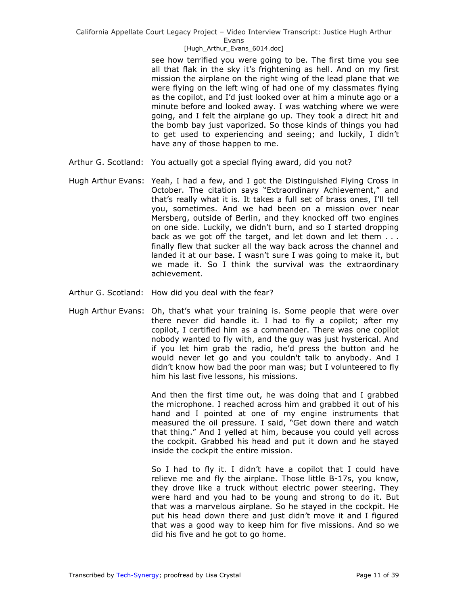#### [Hugh\_Arthur\_Evans\_6014.doc]

see how terrified you were going to be. The first time you see all that flak in the sky it's frightening as hell. And on my first mission the airplane on the right wing of the lead plane that we were flying on the left wing of had one of my classmates flying as the copilot, and I'd just looked over at him a minute ago or a minute before and looked away. I was watching where we were going, and I felt the airplane go up. They took a direct hit and the bomb bay just vaporized. So those kinds of things you had to get used to experiencing and seeing; and luckily, I didn't have any of those happen to me.

- Arthur G. Scotland: You actually got a special flying award, did you not?
- Hugh Arthur Evans: Yeah, I had a few, and I got the Distinguished Flying Cross in October. The citation says "Extraordinary Achievement," and that's really what it is. It takes a full set of brass ones, I'll tell you, sometimes. And we had been on a mission over near Mersberg, outside of Berlin, and they knocked off two engines on one side. Luckily, we didn't burn, and so I started dropping back as we got off the target, and let down and let them . . . finally flew that sucker all the way back across the channel and landed it at our base. I wasn't sure I was going to make it, but we made it. So I think the survival was the extraordinary achievement.
- Arthur G. Scotland: How did you deal with the fear?
- Hugh Arthur Evans: Oh, that's what your training is. Some people that were over there never did handle it. I had to fly a copilot; after my copilot, I certified him as a commander. There was one copilot nobody wanted to fly with, and the guy was just hysterical. And if you let him grab the radio, he'd press the button and he would never let go and you couldn't talk to anybody. And I didn't know how bad the poor man was; but I volunteered to fly him his last five lessons, his missions.

And then the first time out, he was doing that and I grabbed the microphone. I reached across him and grabbed it out of his hand and I pointed at one of my engine instruments that measured the oil pressure. I said, "Get down there and watch that thing." And I yelled at him, because you could yell across the cockpit. Grabbed his head and put it down and he stayed inside the cockpit the entire mission.

So I had to fly it. I didn't have a copilot that I could have relieve me and fly the airplane. Those little B-17s, you know, they drove like a truck without electric power steering. They were hard and you had to be young and strong to do it. But that was a marvelous airplane. So he stayed in the cockpit. He put his head down there and just didn't move it and I figured that was a good way to keep him for five missions. And so we did his five and he got to go home.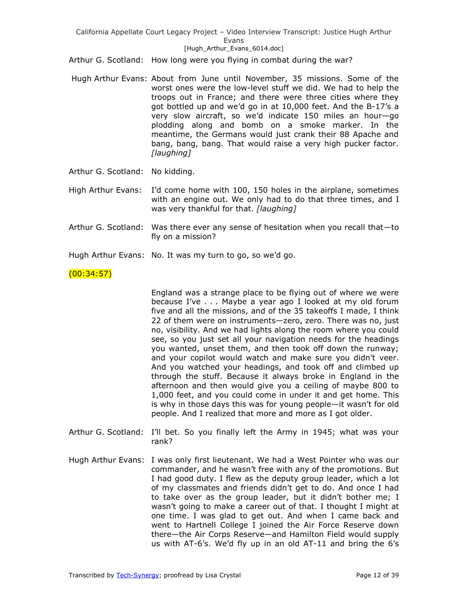#### [Hugh\_Arthur\_Evans\_6014.doc]

Arthur G. Scotland: How long were you flying in combat during the war?

- Hugh Arthur Evans: About from June until November, 35 missions. Some of the worst ones were the low-level stuff we did. We had to help the troops out in France; and there were three cities where they got bottled up and we'd go in at 10,000 feet. And the B-17's a very slow aircraft, so we'd indicate 150 miles an hour—go plodding along and bomb on a smoke marker. In the meantime, the Germans would just crank their 88 Apache and bang, bang, bang. That would raise a very high pucker factor. *[laughing]*
- Arthur G. Scotland: No kidding.
- High Arthur Evans: I'd come home with 100, 150 holes in the airplane, sometimes with an engine out. We only had to do that three times, and I was very thankful for that. *[laughing]*
- Arthur G. Scotland: Was there ever any sense of hesitation when you recall that—to fly on a mission?
- Hugh Arthur Evans: No. It was my turn to go, so we'd go.

## $(00:34:57)$

England was a strange place to be flying out of where we were because I've . . . Maybe a year ago I looked at my old forum five and all the missions, and of the 35 takeoffs I made, I think 22 of them were on instruments—zero, zero. There was no, just no, visibility. And we had lights along the room where you could see, so you just set all your navigation needs for the headings you wanted, unset them, and then took off down the runway; and your copilot would watch and make sure you didn't veer. And you watched your headings, and took off and climbed up through the stuff. Because it always broke in England in the afternoon and then would give you a ceiling of maybe 800 to 1,000 feet, and you could come in under it and get home. This is why in those days this was for young people—it wasn't for old people. And I realized that more and more as I got older.

- Arthur G. Scotland: I'll bet. So you finally left the Army in 1945; what was your rank?
- Hugh Arthur Evans: I was only first lieutenant. We had a West Pointer who was our commander, and he wasn't free with any of the promotions. But I had good duty. I flew as the deputy group leader, which a lot of my classmates and friends didn't get to do. And once I had to take over as the group leader, but it didn't bother me; I wasn't going to make a career out of that. I thought I might at one time. I was glad to get out. And when I came back and went to Hartnell College I joined the Air Force Reserve down there—the Air Corps Reserve—and Hamilton Field would supply us with AT-6's. We'd fly up in an old AT-11 and bring the 6's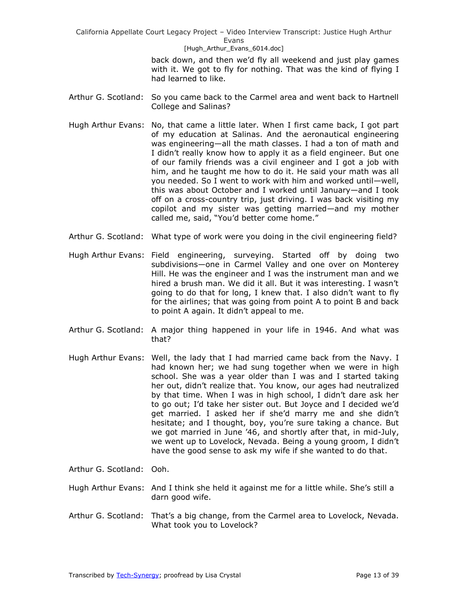[Hugh\_Arthur\_Evans\_6014.doc]

back down, and then we'd fly all weekend and just play games with it. We got to fly for nothing. That was the kind of flying I had learned to like.

- Arthur G. Scotland: So you came back to the Carmel area and went back to Hartnell College and Salinas?
- Hugh Arthur Evans: No, that came a little later. When I first came back, I got part of my education at Salinas. And the aeronautical engineering was engineering—all the math classes. I had a ton of math and I didn't really know how to apply it as a field engineer. But one of our family friends was a civil engineer and I got a job with him, and he taught me how to do it. He said your math was all you needed. So I went to work with him and worked until—well, this was about October and I worked until January—and I took off on a cross-country trip, just driving. I was back visiting my copilot and my sister was getting married—and my mother called me, said, "You'd better come home."
- Arthur G. Scotland: What type of work were you doing in the civil engineering field?
- Hugh Arthur Evans: Field engineering, surveying. Started off by doing two subdivisions—one in Carmel Valley and one over on Monterey Hill. He was the engineer and I was the instrument man and we hired a brush man. We did it all. But it was interesting. I wasn't going to do that for long, I knew that. I also didn't want to fly for the airlines; that was going from point A to point B and back to point A again. It didn't appeal to me.
- Arthur G. Scotland: A major thing happened in your life in 1946. And what was that?
- Hugh Arthur Evans: Well, the lady that I had married came back from the Navy. I had known her; we had sung together when we were in high school. She was a year older than I was and I started taking her out, didn't realize that. You know, our ages had neutralized by that time. When I was in high school, I didn't dare ask her to go out; I'd take her sister out. But Joyce and I decided we'd get married. I asked her if she'd marry me and she didn't hesitate; and I thought, boy, you're sure taking a chance. But we got married in June '46, and shortly after that, in mid-July, we went up to Lovelock, Nevada. Being a young groom, I didn't have the good sense to ask my wife if she wanted to do that.
- Arthur G. Scotland: Ooh.
- Hugh Arthur Evans: And I think she held it against me for a little while. She's still a darn good wife.
- Arthur G. Scotland: That's a big change, from the Carmel area to Lovelock, Nevada. What took you to Lovelock?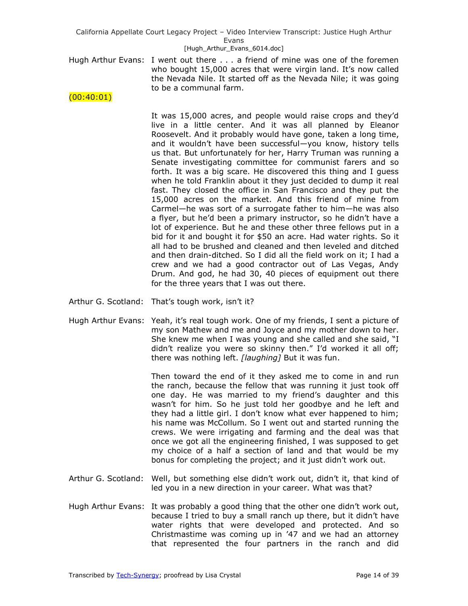Hugh Arthur Evans: I went out there . . . a friend of mine was one of the foremen who bought 15,000 acres that were virgin land. It's now called the Nevada Nile. It started off as the Nevada Nile; it was going to be a communal farm.

 $(00:40:01)$ 

It was 15,000 acres, and people would raise crops and they'd live in a little center. And it was all planned by Eleanor Roosevelt. And it probably would have gone, taken a long time, and it wouldn't have been successful—you know, history tells us that. But unfortunately for her, Harry Truman was running a Senate investigating committee for communist farers and so forth. It was a big scare. He discovered this thing and I guess when he told Franklin about it they just decided to dump it real fast. They closed the office in San Francisco and they put the 15,000 acres on the market. And this friend of mine from Carmel—he was sort of a surrogate father to him—he was also a flyer, but he'd been a primary instructor, so he didn't have a lot of experience. But he and these other three fellows put in a bid for it and bought it for \$50 an acre. Had water rights. So it all had to be brushed and cleaned and then leveled and ditched and then drain-ditched. So I did all the field work on it; I had a crew and we had a good contractor out of Las Vegas, Andy Drum. And god, he had 30, 40 pieces of equipment out there for the three years that I was out there.

- Arthur G. Scotland: That's tough work, isn't it?
- Hugh Arthur Evans: Yeah, it's real tough work. One of my friends, I sent a picture of my son Mathew and me and Joyce and my mother down to her. She knew me when I was young and she called and she said, "I didn't realize you were so skinny then." I'd worked it all off; there was nothing left. *[laughing]* But it was fun.

Then toward the end of it they asked me to come in and run the ranch, because the fellow that was running it just took off one day. He was married to my friend's daughter and this wasn't for him. So he just told her goodbye and he left and they had a little girl. I don't know what ever happened to him; his name was McCollum. So I went out and started running the crews. We were irrigating and farming and the deal was that once we got all the engineering finished, I was supposed to get my choice of a half a section of land and that would be my bonus for completing the project; and it just didn't work out.

- Arthur G. Scotland: Well, but something else didn't work out, didn't it, that kind of led you in a new direction in your career. What was that?
- Hugh Arthur Evans: It was probably a good thing that the other one didn't work out, because I tried to buy a small ranch up there, but it didn't have water rights that were developed and protected. And so Christmastime was coming up in '47 and we had an attorney that represented the four partners in the ranch and did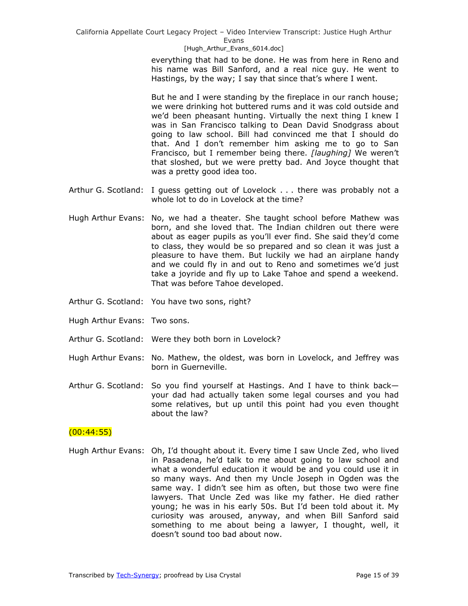[Hugh\_Arthur\_Evans\_6014.doc]

everything that had to be done. He was from here in Reno and his name was Bill Sanford, and a real nice guy. He went to Hastings, by the way; I say that since that's where I went.

But he and I were standing by the fireplace in our ranch house; we were drinking hot buttered rums and it was cold outside and we'd been pheasant hunting. Virtually the next thing I knew I was in San Francisco talking to Dean David Snodgrass about going to law school. Bill had convinced me that I should do that. And I don't remember him asking me to go to San Francisco, but I remember being there. *[laughing]* We weren't that sloshed, but we were pretty bad. And Joyce thought that was a pretty good idea too.

- Arthur G. Scotland: I guess getting out of Lovelock . . . there was probably not a whole lot to do in Lovelock at the time?
- Hugh Arthur Evans: No, we had a theater. She taught school before Mathew was born, and she loved that. The Indian children out there were about as eager pupils as you'll ever find. She said they'd come to class, they would be so prepared and so clean it was just a pleasure to have them. But luckily we had an airplane handy and we could fly in and out to Reno and sometimes we'd just take a joyride and fly up to Lake Tahoe and spend a weekend. That was before Tahoe developed.
- Arthur G. Scotland: You have two sons, right?
- Hugh Arthur Evans: Two sons.
- Arthur G. Scotland: Were they both born in Lovelock?
- Hugh Arthur Evans: No. Mathew, the oldest, was born in Lovelock, and Jeffrey was born in Guerneville.
- Arthur G. Scotland: So you find yourself at Hastings. And I have to think back your dad had actually taken some legal courses and you had some relatives, but up until this point had you even thought about the law?

## (00:44:55)

Hugh Arthur Evans: Oh, I'd thought about it. Every time I saw Uncle Zed, who lived in Pasadena, he'd talk to me about going to law school and what a wonderful education it would be and you could use it in so many ways. And then my Uncle Joseph in Ogden was the same way. I didn't see him as often, but those two were fine lawyers. That Uncle Zed was like my father. He died rather young; he was in his early 50s. But I'd been told about it. My curiosity was aroused, anyway, and when Bill Sanford said something to me about being a lawyer, I thought, well, it doesn't sound too bad about now.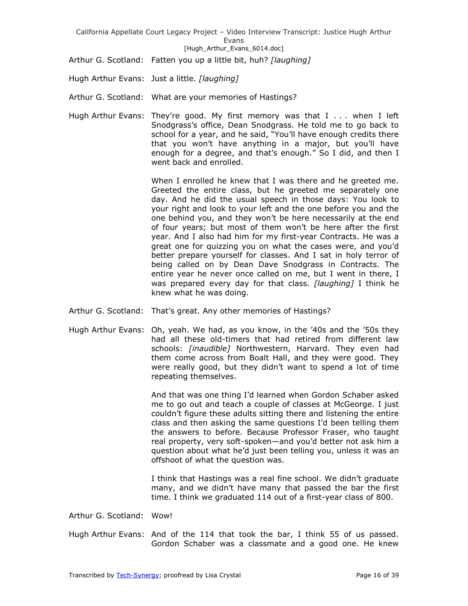Arthur G. Scotland: Fatten you up a little bit, huh? *[laughing]*

Hugh Arthur Evans: Just a little. *[laughing]*

Arthur G. Scotland: What are your memories of Hastings?

Hugh Arthur Evans: They're good. My first memory was that I . . . when I left Snodgrass's office, Dean Snodgrass. He told me to go back to school for a year, and he said, "You'll have enough credits there that you won't have anything in a major, but you'll have enough for a degree, and that's enough." So I did, and then I went back and enrolled.

> When I enrolled he knew that I was there and he greeted me. Greeted the entire class, but he greeted me separately one day. And he did the usual speech in those days: You look to your right and look to your left and the one before you and the one behind you, and they won't be here necessarily at the end of four years; but most of them won't be here after the first year. And I also had him for my first-year Contracts. He was a great one for quizzing you on what the cases were, and you'd better prepare yourself for classes. And I sat in holy terror of being called on by Dean Dave Snodgrass in Contracts. The entire year he never once called on me, but I went in there, I was prepared every day for that class. *[laughing]* I think he knew what he was doing.

- Arthur G. Scotland: That's great. Any other memories of Hastings?
- Hugh Arthur Evans: Oh, yeah. We had, as you know, in the '40s and the '50s they had all these old-timers that had retired from different law schools: *[inaudible]* Northwestern, Harvard. They even had them come across from Boalt Hall, and they were good. They were really good, but they didn't want to spend a lot of time repeating themselves.

And that was one thing I'd learned when Gordon Schaber asked me to go out and teach a couple of classes at McGeorge. I just couldn't figure these adults sitting there and listening the entire class and then asking the same questions I'd been telling them the answers to before. Because Professor Fraser, who taught real property, very soft-spoken—and you'd better not ask him a question about what he'd just been telling you, unless it was an offshoot of what the question was.

I think that Hastings was a real fine school. We didn't graduate many, and we didn't have many that passed the bar the first time. I think we graduated 114 out of a first-year class of 800.

Arthur G. Scotland: Wow!

Hugh Arthur Evans: And of the 114 that took the bar, I think 55 of us passed. Gordon Schaber was a classmate and a good one. He knew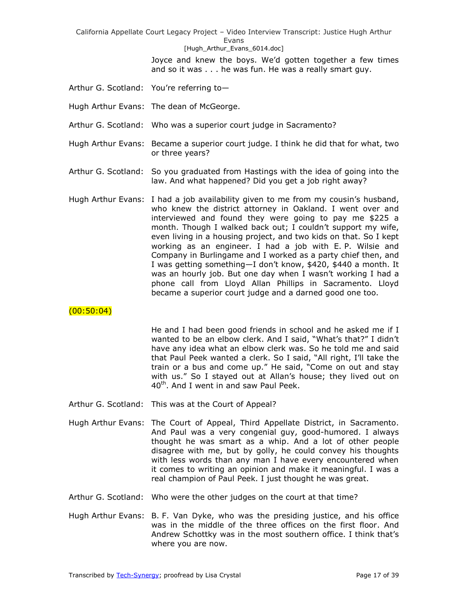> Joyce and knew the boys. We'd gotten together a few times and so it was . . . he was fun. He was a really smart guy.

- Arthur G. Scotland: You're referring to—
- Hugh Arthur Evans: The dean of McGeorge.
- Arthur G. Scotland: Who was a superior court judge in Sacramento?
- Hugh Arthur Evans: Became a superior court judge. I think he did that for what, two or three years?
- Arthur G. Scotland: So you graduated from Hastings with the idea of going into the law. And what happened? Did you get a job right away?
- Hugh Arthur Evans: I had a job availability given to me from my cousin's husband, who knew the district attorney in Oakland. I went over and interviewed and found they were going to pay me \$225 a month. Though I walked back out; I couldn't support my wife, even living in a housing project, and two kids on that. So I kept working as an engineer. I had a job with E. P. Wilsie and Company in Burlingame and I worked as a party chief then, and I was getting something—I don't know, \$420, \$440 a month. It was an hourly job. But one day when I wasn't working I had a phone call from Lloyd Allan Phillips in Sacramento. Lloyd became a superior court judge and a darned good one too.

## $(00:50:04)$

He and I had been good friends in school and he asked me if I wanted to be an elbow clerk. And I said, "What's that?" I didn't have any idea what an elbow clerk was. So he told me and said that Paul Peek wanted a clerk. So I said, "All right, I'll take the train or a bus and come up." He said, "Come on out and stay with us." So I stayed out at Allan's house; they lived out on 40<sup>th</sup>. And I went in and saw Paul Peek.

- Arthur G. Scotland: This was at the Court of Appeal?
- Hugh Arthur Evans: The Court of Appeal, Third Appellate District, in Sacramento. And Paul was a very congenial guy, good-humored. I always thought he was smart as a whip. And a lot of other people disagree with me, but by golly, he could convey his thoughts with less words than any man I have every encountered when it comes to writing an opinion and make it meaningful. I was a real champion of Paul Peek. I just thought he was great.
- Arthur G. Scotland: Who were the other judges on the court at that time?
- Hugh Arthur Evans: B. F. Van Dyke, who was the presiding justice, and his office was in the middle of the three offices on the first floor. And Andrew Schottky was in the most southern office. I think that's where you are now.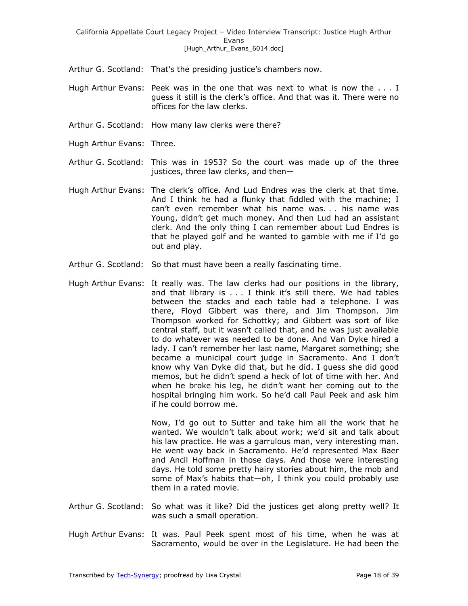Arthur G. Scotland: That's the presiding justice's chambers now.

- Hugh Arthur Evans: Peek was in the one that was next to what is now the . . . I guess it still is the clerk's office. And that was it. There were no offices for the law clerks.
- Arthur G. Scotland: How many law clerks were there?
- Hugh Arthur Evans: Three.
- Arthur G. Scotland: This was in 1953? So the court was made up of the three justices, three law clerks, and then—
- Hugh Arthur Evans: The clerk's office. And Lud Endres was the clerk at that time. And I think he had a flunky that fiddled with the machine; I can't even remember what his name was. . . his name was Young, didn't get much money. And then Lud had an assistant clerk. And the only thing I can remember about Lud Endres is that he played golf and he wanted to gamble with me if I'd go out and play.
- Arthur G. Scotland: So that must have been a really fascinating time.
- Hugh Arthur Evans: It really was. The law clerks had our positions in the library, and that library is . . . I think it's still there. We had tables between the stacks and each table had a telephone. I was there, Floyd Gibbert was there, and Jim Thompson. Jim Thompson worked for Schottky; and Gibbert was sort of like central staff, but it wasn't called that, and he was just available to do whatever was needed to be done. And Van Dyke hired a lady. I can't remember her last name, Margaret something; she became a municipal court judge in Sacramento. And I don't know why Van Dyke did that, but he did. I guess she did good memos, but he didn't spend a heck of lot of time with her. And when he broke his leg, he didn't want her coming out to the hospital bringing him work. So he'd call Paul Peek and ask him if he could borrow me.

Now, I'd go out to Sutter and take him all the work that he wanted. We wouldn't talk about work; we'd sit and talk about his law practice. He was a garrulous man, very interesting man. He went way back in Sacramento. He'd represented Max Baer and Ancil Hoffman in those days. And those were interesting days. He told some pretty hairy stories about him, the mob and some of Max's habits that—oh, I think you could probably use them in a rated movie.

- Arthur G. Scotland: So what was it like? Did the justices get along pretty well? It was such a small operation.
- Hugh Arthur Evans: It was. Paul Peek spent most of his time, when he was at Sacramento, would be over in the Legislature. He had been the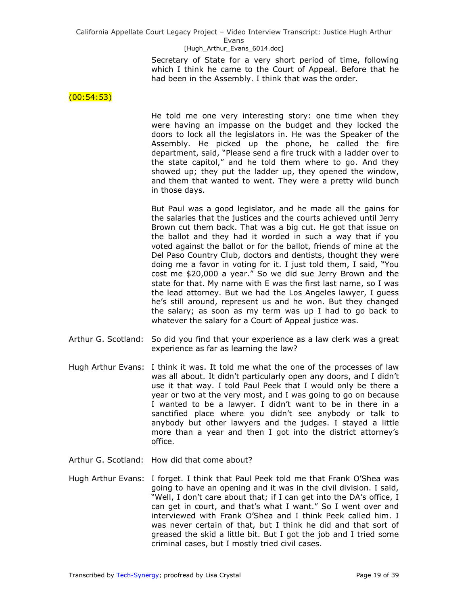> Secretary of State for a very short period of time, following which I think he came to the Court of Appeal. Before that he had been in the Assembly. I think that was the order.

 $(00:54:53)$ 

He told me one very interesting story: one time when they were having an impasse on the budget and they locked the doors to lock all the legislators in. He was the Speaker of the Assembly. He picked up the phone, he called the fire department, said, "Please send a fire truck with a ladder over to the state capitol," and he told them where to go. And they showed up; they put the ladder up, they opened the window, and them that wanted to went. They were a pretty wild bunch in those days.

But Paul was a good legislator, and he made all the gains for the salaries that the justices and the courts achieved until Jerry Brown cut them back. That was a big cut. He got that issue on the ballot and they had it worded in such a way that if you voted against the ballot or for the ballot, friends of mine at the Del Paso Country Club, doctors and dentists, thought they were doing me a favor in voting for it. I just told them, I said, "You cost me \$20,000 a year." So we did sue Jerry Brown and the state for that. My name with E was the first last name, so I was the lead attorney. But we had the Los Angeles lawyer, I guess he's still around, represent us and he won. But they changed the salary; as soon as my term was up I had to go back to whatever the salary for a Court of Appeal justice was.

- Arthur G. Scotland: So did you find that your experience as a law clerk was a great experience as far as learning the law?
- Hugh Arthur Evans: I think it was. It told me what the one of the processes of law was all about. It didn't particularly open any doors, and I didn't use it that way. I told Paul Peek that I would only be there a year or two at the very most, and I was going to go on because I wanted to be a lawyer. I didn't want to be in there in a sanctified place where you didn't see anybody or talk to anybody but other lawyers and the judges. I stayed a little more than a year and then I got into the district attorney's office.
- Arthur G. Scotland: How did that come about?
- Hugh Arthur Evans: I forget. I think that Paul Peek told me that Frank O'Shea was going to have an opening and it was in the civil division. I said, "Well, I don't care about that; if I can get into the DA's office, I can get in court, and that's what I want." So I went over and interviewed with Frank O'Shea and I think Peek called him. I was never certain of that, but I think he did and that sort of greased the skid a little bit. But I got the job and I tried some criminal cases, but I mostly tried civil cases.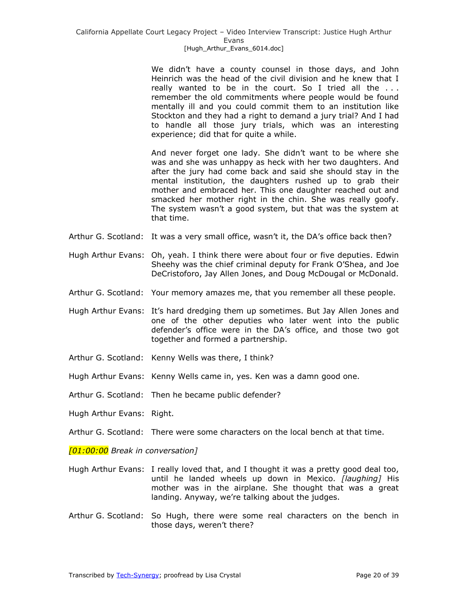We didn't have a county counsel in those days, and John Heinrich was the head of the civil division and he knew that I really wanted to be in the court. So I tried all the . . . remember the old commitments where people would be found mentally ill and you could commit them to an institution like Stockton and they had a right to demand a jury trial? And I had to handle all those jury trials, which was an interesting experience; did that for quite a while.

And never forget one lady. She didn't want to be where she was and she was unhappy as heck with her two daughters. And after the jury had come back and said she should stay in the mental institution, the daughters rushed up to grab their mother and embraced her. This one daughter reached out and smacked her mother right in the chin. She was really goofy. The system wasn't a good system, but that was the system at that time.

- Arthur G. Scotland: It was a very small office, wasn't it, the DA's office back then?
- Hugh Arthur Evans: Oh, yeah. I think there were about four or five deputies. Edwin Sheehy was the chief criminal deputy for Frank O'Shea, and Joe DeCristoforo, Jay Allen Jones, and Doug McDougal or McDonald.
- Arthur G. Scotland: Your memory amazes me, that you remember all these people.
- Hugh Arthur Evans: It's hard dredging them up sometimes. But Jay Allen Jones and one of the other deputies who later went into the public defender's office were in the DA's office, and those two got together and formed a partnership.
- Arthur G. Scotland: Kenny Wells was there, I think?
- Hugh Arthur Evans: Kenny Wells came in, yes. Ken was a damn good one.
- Arthur G. Scotland: Then he became public defender?
- Hugh Arthur Evans: Right.
- Arthur G. Scotland: There were some characters on the local bench at that time.

*[01:00:00 Break in conversation]*

- Hugh Arthur Evans: I really loved that, and I thought it was a pretty good deal too, until he landed wheels up down in Mexico. *[laughing]* His mother was in the airplane. She thought that was a great landing. Anyway, we're talking about the judges.
- Arthur G. Scotland: So Hugh, there were some real characters on the bench in those days, weren't there?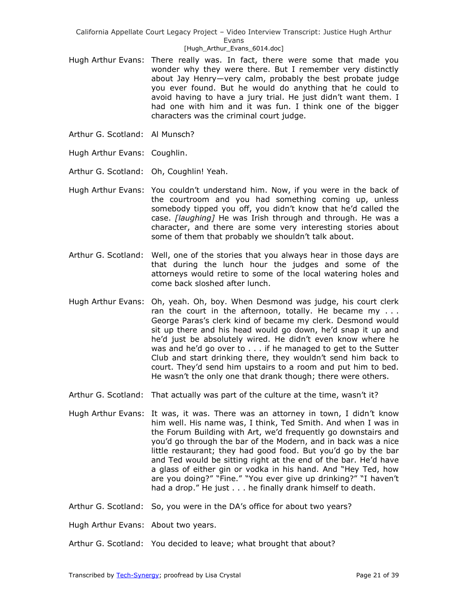### [Hugh\_Arthur\_Evans\_6014.doc]

- Hugh Arthur Evans: There really was. In fact, there were some that made you wonder why they were there. But I remember very distinctly about Jay Henry—very calm, probably the best probate judge you ever found. But he would do anything that he could to avoid having to have a jury trial. He just didn't want them. I had one with him and it was fun. I think one of the bigger characters was the criminal court judge.
- Arthur G. Scotland: Al Munsch?
- Hugh Arthur Evans: Coughlin.
- Arthur G. Scotland: Oh, Coughlin! Yeah.
- Hugh Arthur Evans: You couldn't understand him. Now, if you were in the back of the courtroom and you had something coming up, unless somebody tipped you off, you didn't know that he'd called the case. *[laughing]* He was Irish through and through. He was a character, and there are some very interesting stories about some of them that probably we shouldn't talk about.
- Arthur G. Scotland: Well, one of the stories that you always hear in those days are that during the lunch hour the judges and some of the attorneys would retire to some of the local watering holes and come back sloshed after lunch.
- Hugh Arthur Evans: Oh, yeah. Oh, boy. When Desmond was judge, his court clerk ran the court in the afternoon, totally. He became my  $\dots$ George Paras's clerk kind of became my clerk. Desmond would sit up there and his head would go down, he'd snap it up and he'd just be absolutely wired. He didn't even know where he was and he'd go over to . . . if he managed to get to the Sutter Club and start drinking there, they wouldn't send him back to court. They'd send him upstairs to a room and put him to bed. He wasn't the only one that drank though; there were others.
- Arthur G. Scotland: That actually was part of the culture at the time, wasn't it?
- Hugh Arthur Evans: It was, it was. There was an attorney in town, I didn't know him well. His name was, I think, Ted Smith. And when I was in the Forum Building with Art, we'd frequently go downstairs and you'd go through the bar of the Modern, and in back was a nice little restaurant; they had good food. But you'd go by the bar and Ted would be sitting right at the end of the bar. He'd have a glass of either gin or vodka in his hand. And "Hey Ted, how are you doing?" "Fine." "You ever give up drinking?" "I haven't had a drop." He just . . . he finally drank himself to death.
- Arthur G. Scotland: So, you were in the DA's office for about two years?

Hugh Arthur Evans: About two years.

Arthur G. Scotland: You decided to leave; what brought that about?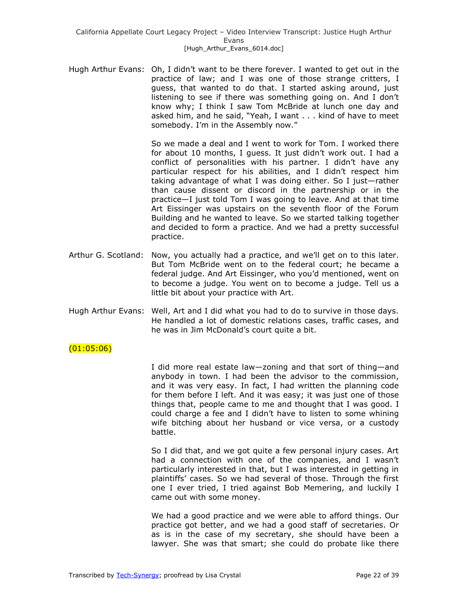Hugh Arthur Evans: Oh, I didn't want to be there forever. I wanted to get out in the practice of law; and I was one of those strange critters, I guess, that wanted to do that. I started asking around, just listening to see if there was something going on. And I don't know why; I think I saw Tom McBride at lunch one day and asked him, and he said, "Yeah, I want . . . kind of have to meet somebody. I'm in the Assembly now."

> So we made a deal and I went to work for Tom. I worked there for about 10 months, I guess. It just didn't work out. I had a conflict of personalities with his partner. I didn't have any particular respect for his abilities, and I didn't respect him taking advantage of what I was doing either. So I just—rather than cause dissent or discord in the partnership or in the practice—I just told Tom I was going to leave. And at that time Art Eissinger was upstairs on the seventh floor of the Forum Building and he wanted to leave. So we started talking together and decided to form a practice. And we had a pretty successful practice.

- Arthur G. Scotland: Now, you actually had a practice, and we'll get on to this later. But Tom McBride went on to the federal court; he became a federal judge. And Art Eissinger, who you'd mentioned, went on to become a judge. You went on to become a judge. Tell us a little bit about your practice with Art.
- Hugh Arthur Evans: Well, Art and I did what you had to do to survive in those days. He handled a lot of domestic relations cases, traffic cases, and he was in Jim McDonald's court quite a bit.

## $(01:05:06)$

I did more real estate law—zoning and that sort of thing—and anybody in town. I had been the advisor to the commission, and it was very easy. In fact, I had written the planning code for them before I left. And it was easy; it was just one of those things that, people came to me and thought that I was good. I could charge a fee and I didn't have to listen to some whining wife bitching about her husband or vice versa, or a custody battle.

So I did that, and we got quite a few personal injury cases. Art had a connection with one of the companies, and I wasn't particularly interested in that, but I was interested in getting in plaintiffs' cases. So we had several of those. Through the first one I ever tried, I tried against Bob Memering, and luckily I came out with some money.

We had a good practice and we were able to afford things. Our practice got better, and we had a good staff of secretaries. Or as is in the case of my secretary, she should have been a lawyer. She was that smart; she could do probate like there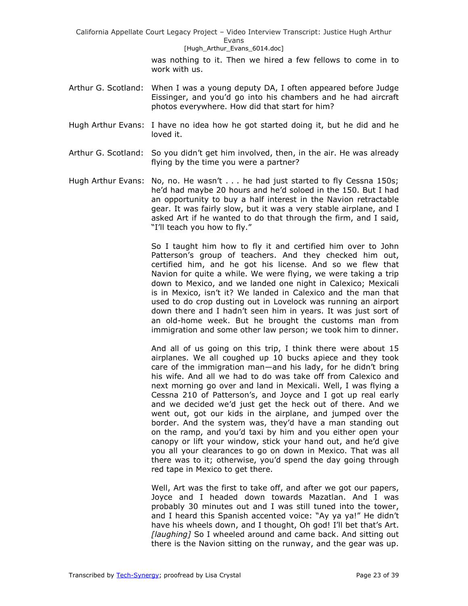#### [Hugh\_Arthur\_Evans\_6014.doc]

was nothing to it. Then we hired a few fellows to come in to work with us.

- Arthur G. Scotland: When I was a young deputy DA, I often appeared before Judge Eissinger, and you'd go into his chambers and he had aircraft photos everywhere. How did that start for him?
- Hugh Arthur Evans: I have no idea how he got started doing it, but he did and he loved it.
- Arthur G. Scotland: So you didn't get him involved, then, in the air. He was already flying by the time you were a partner?
- Hugh Arthur Evans: No, no. He wasn't . . . he had just started to fly Cessna 150s; he'd had maybe 20 hours and he'd soloed in the 150. But I had an opportunity to buy a half interest in the Navion retractable gear. It was fairly slow, but it was a very stable airplane, and I asked Art if he wanted to do that through the firm, and I said, "I'll teach you how to fly."

So I taught him how to fly it and certified him over to John Patterson's group of teachers. And they checked him out, certified him, and he got his license. And so we flew that Navion for quite a while. We were flying, we were taking a trip down to Mexico, and we landed one night in Calexico; Mexicali is in Mexico, isn't it? We landed in Calexico and the man that used to do crop dusting out in Lovelock was running an airport down there and I hadn't seen him in years. It was just sort of an old-home week. But he brought the customs man from immigration and some other law person; we took him to dinner.

And all of us going on this trip, I think there were about 15 airplanes. We all coughed up 10 bucks apiece and they took care of the immigration man—and his lady, for he didn't bring his wife. And all we had to do was take off from Calexico and next morning go over and land in Mexicali. Well, I was flying a Cessna 210 of Patterson's, and Joyce and I got up real early and we decided we'd just get the heck out of there. And we went out, got our kids in the airplane, and jumped over the border. And the system was, they'd have a man standing out on the ramp, and you'd taxi by him and you either open your canopy or lift your window, stick your hand out, and he'd give you all your clearances to go on down in Mexico. That was all there was to it; otherwise, you'd spend the day going through red tape in Mexico to get there.

Well, Art was the first to take off, and after we got our papers, Joyce and I headed down towards Mazatlan. And I was probably 30 minutes out and I was still tuned into the tower, and I heard this Spanish accented voice: "Ay ya ya!" He didn't have his wheels down, and I thought, Oh god! I'll bet that's Art. *[laughing]* So I wheeled around and came back. And sitting out there is the Navion sitting on the runway, and the gear was up.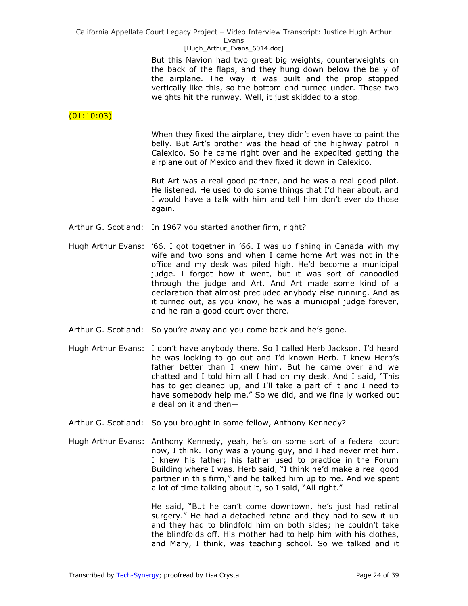### [Hugh\_Arthur\_Evans\_6014.doc]

But this Navion had two great big weights, counterweights on the back of the flaps, and they hung down below the belly of the airplane. The way it was built and the prop stopped vertically like this, so the bottom end turned under. These two weights hit the runway. Well, it just skidded to a stop.

## $(01:10:03)$

When they fixed the airplane, they didn't even have to paint the belly. But Art's brother was the head of the highway patrol in Calexico. So he came right over and he expedited getting the airplane out of Mexico and they fixed it down in Calexico.

But Art was a real good partner, and he was a real good pilot. He listened. He used to do some things that I'd hear about, and I would have a talk with him and tell him don't ever do those again.

- Arthur G. Scotland: In 1967 you started another firm, right?
- Hugh Arthur Evans: '66. I got together in '66. I was up fishing in Canada with my wife and two sons and when I came home Art was not in the office and my desk was piled high. He'd become a municipal judge. I forgot how it went, but it was sort of canoodled through the judge and Art. And Art made some kind of a declaration that almost precluded anybody else running. And as it turned out, as you know, he was a municipal judge forever, and he ran a good court over there.
- Arthur G. Scotland: So you're away and you come back and he's gone.
- Hugh Arthur Evans: I don't have anybody there. So I called Herb Jackson. I'd heard he was looking to go out and I'd known Herb. I knew Herb's father better than I knew him. But he came over and we chatted and I told him all I had on my desk. And I said, "This has to get cleaned up, and I'll take a part of it and I need to have somebody help me." So we did, and we finally worked out a deal on it and then—
- Arthur G. Scotland: So you brought in some fellow, Anthony Kennedy?
- Hugh Arthur Evans: Anthony Kennedy, yeah, he's on some sort of a federal court now, I think. Tony was a young guy, and I had never met him. I knew his father; his father used to practice in the Forum Building where I was. Herb said, "I think he'd make a real good partner in this firm," and he talked him up to me. And we spent a lot of time talking about it, so I said, "All right."

He said, "But he can't come downtown, he's just had retinal surgery." He had a detached retina and they had to sew it up and they had to blindfold him on both sides; he couldn't take the blindfolds off. His mother had to help him with his clothes, and Mary, I think, was teaching school. So we talked and it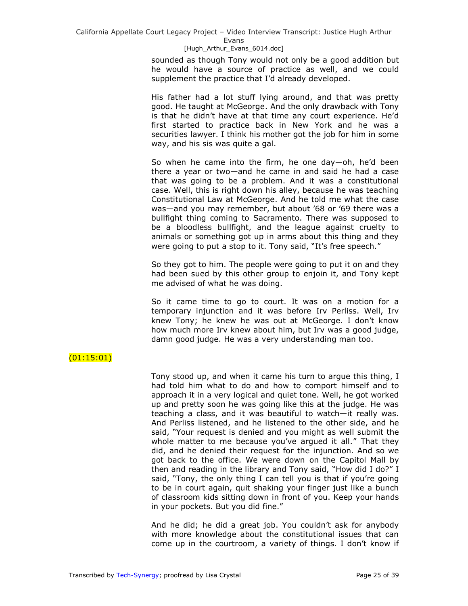#### [Hugh\_Arthur\_Evans\_6014.doc]

sounded as though Tony would not only be a good addition but he would have a source of practice as well, and we could supplement the practice that I'd already developed.

His father had a lot stuff lying around, and that was pretty good. He taught at McGeorge. And the only drawback with Tony is that he didn't have at that time any court experience. He'd first started to practice back in New York and he was a securities lawyer. I think his mother got the job for him in some way, and his sis was quite a gal.

So when he came into the firm, he one day—oh, he'd been there a year or two—and he came in and said he had a case that was going to be a problem. And it was a constitutional case. Well, this is right down his alley, because he was teaching Constitutional Law at McGeorge. And he told me what the case was—and you may remember, but about '68 or '69 there was a bullfight thing coming to Sacramento. There was supposed to be a bloodless bullfight, and the league against cruelty to animals or something got up in arms about this thing and they were going to put a stop to it. Tony said, "It's free speech."

So they got to him. The people were going to put it on and they had been sued by this other group to enjoin it, and Tony kept me advised of what he was doing.

So it came time to go to court. It was on a motion for a temporary injunction and it was before Irv Perliss. Well, Irv knew Tony; he knew he was out at McGeorge. I don't know how much more Irv knew about him, but Irv was a good judge, damn good judge. He was a very understanding man too.

# $(01:15:01)$

Tony stood up, and when it came his turn to argue this thing, I had told him what to do and how to comport himself and to approach it in a very logical and quiet tone. Well, he got worked up and pretty soon he was going like this at the judge. He was teaching a class, and it was beautiful to watch—it really was. And Perliss listened, and he listened to the other side, and he said, "Your request is denied and you might as well submit the whole matter to me because you've argued it all." That they did, and he denied their request for the injunction. And so we got back to the office. We were down on the Capitol Mall by then and reading in the library and Tony said, "How did I do?" I said, "Tony, the only thing I can tell you is that if you're going to be in court again, quit shaking your finger just like a bunch of classroom kids sitting down in front of you. Keep your hands in your pockets. But you did fine."

And he did; he did a great job. You couldn't ask for anybody with more knowledge about the constitutional issues that can come up in the courtroom, a variety of things. I don't know if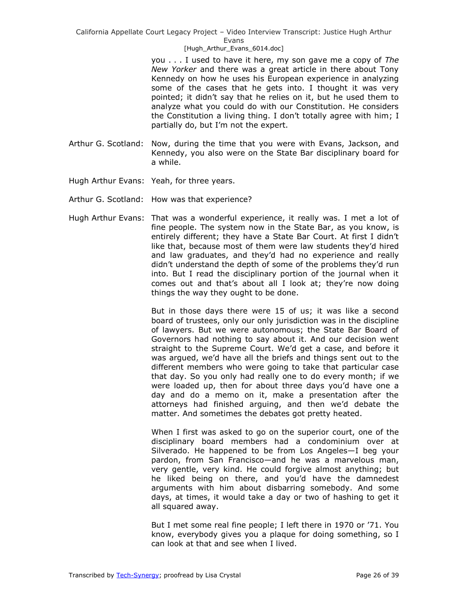[Hugh\_Arthur\_Evans\_6014.doc]

you . . . I used to have it here, my son gave me a copy of *The New Yorker* and there was a great article in there about Tony Kennedy on how he uses his European experience in analyzing some of the cases that he gets into. I thought it was very pointed; it didn't say that he relies on it, but he used them to analyze what you could do with our Constitution. He considers the Constitution a living thing. I don't totally agree with him; I partially do, but I'm not the expert.

- Arthur G. Scotland: Now, during the time that you were with Evans, Jackson, and Kennedy, you also were on the State Bar disciplinary board for a while.
- Hugh Arthur Evans: Yeah, for three years.
- Arthur G. Scotland: How was that experience?
- Hugh Arthur Evans: That was a wonderful experience, it really was. I met a lot of fine people. The system now in the State Bar, as you know, is entirely different; they have a State Bar Court. At first I didn't like that, because most of them were law students they'd hired and law graduates, and they'd had no experience and really didn't understand the depth of some of the problems they'd run into. But I read the disciplinary portion of the journal when it comes out and that's about all I look at; they're now doing things the way they ought to be done.

But in those days there were 15 of us; it was like a second board of trustees, only our only jurisdiction was in the discipline of lawyers. But we were autonomous; the State Bar Board of Governors had nothing to say about it. And our decision went straight to the Supreme Court. We'd get a case, and before it was argued, we'd have all the briefs and things sent out to the different members who were going to take that particular case that day. So you only had really one to do every month; if we were loaded up, then for about three days you'd have one a day and do a memo on it, make a presentation after the attorneys had finished arguing, and then we'd debate the matter. And sometimes the debates got pretty heated.

When I first was asked to go on the superior court, one of the disciplinary board members had a condominium over at Silverado. He happened to be from Los Angeles—I beg your pardon, from San Francisco—and he was a marvelous man, very gentle, very kind. He could forgive almost anything; but he liked being on there, and you'd have the damnedest arguments with him about disbarring somebody. And some days, at times, it would take a day or two of hashing to get it all squared away.

But I met some real fine people; I left there in 1970 or '71. You know, everybody gives you a plaque for doing something, so I can look at that and see when I lived.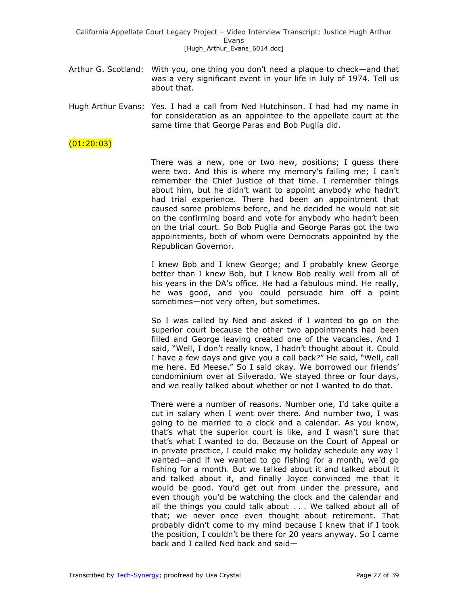- Arthur G. Scotland: With you, one thing you don't need a plaque to check—and that was a very significant event in your life in July of 1974. Tell us about that.
- Hugh Arthur Evans: Yes. I had a call from Ned Hutchinson. I had had my name in for consideration as an appointee to the appellate court at the same time that George Paras and Bob Puglia did.

## $(01:20:03)$

There was a new, one or two new, positions; I guess there were two. And this is where my memory's failing me; I can't remember the Chief Justice of that time. I remember things about him, but he didn't want to appoint anybody who hadn't had trial experience. There had been an appointment that caused some problems before, and he decided he would not sit on the confirming board and vote for anybody who hadn't been on the trial court. So Bob Puglia and George Paras got the two appointments, both of whom were Democrats appointed by the Republican Governor.

I knew Bob and I knew George; and I probably knew George better than I knew Bob, but I knew Bob really well from all of his years in the DA's office. He had a fabulous mind. He really, he was good, and you could persuade him off a point sometimes—not very often, but sometimes.

So I was called by Ned and asked if I wanted to go on the superior court because the other two appointments had been filled and George leaving created one of the vacancies. And I said, "Well, I don't really know, I hadn't thought about it. Could I have a few days and give you a call back?" He said, "Well, call me here. Ed Meese." So I said okay. We borrowed our friends' condominium over at Silverado. We stayed three or four days, and we really talked about whether or not I wanted to do that.

There were a number of reasons. Number one, I'd take quite a cut in salary when I went over there. And number two, I was going to be married to a clock and a calendar. As you know, that's what the superior court is like, and I wasn't sure that that's what I wanted to do. Because on the Court of Appeal or in private practice, I could make my holiday schedule any way I wanted—and if we wanted to go fishing for a month, we'd go fishing for a month. But we talked about it and talked about it and talked about it, and finally Joyce convinced me that it would be good. You'd get out from under the pressure, and even though you'd be watching the clock and the calendar and all the things you could talk about . . . We talked about all of that; we never once even thought about retirement. That probably didn't come to my mind because I knew that if I took the position, I couldn't be there for 20 years anyway. So I came back and I called Ned back and said—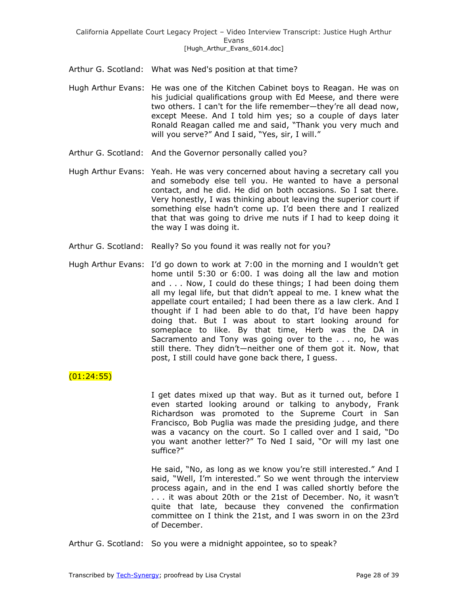- Arthur G. Scotland: What was Ned's position at that time?
- Hugh Arthur Evans: He was one of the Kitchen Cabinet boys to Reagan. He was on his judicial qualifications group with Ed Meese, and there were two others. I can't for the life remember—they're all dead now, except Meese. And I told him yes; so a couple of days later Ronald Reagan called me and said, "Thank you very much and will you serve?" And I said, "Yes, sir, I will."
- Arthur G. Scotland: And the Governor personally called you?
- Hugh Arthur Evans: Yeah. He was very concerned about having a secretary call you and somebody else tell you. He wanted to have a personal contact, and he did. He did on both occasions. So I sat there. Very honestly, I was thinking about leaving the superior court if something else hadn't come up. I'd been there and I realized that that was going to drive me nuts if I had to keep doing it the way I was doing it.
- Arthur G. Scotland: Really? So you found it was really not for you?
- Hugh Arthur Evans: I'd go down to work at 7:00 in the morning and I wouldn't get home until 5:30 or 6:00. I was doing all the law and motion and . . . Now, I could do these things; I had been doing them all my legal life, but that didn't appeal to me. I knew what the appellate court entailed; I had been there as a law clerk. And I thought if I had been able to do that, I'd have been happy doing that. But I was about to start looking around for someplace to like. By that time, Herb was the DA in Sacramento and Tony was going over to the . . . no, he was still there. They didn't—neither one of them got it. Now, that post, I still could have gone back there, I guess.

# $(01:24:55)$

I get dates mixed up that way. But as it turned out, before I even started looking around or talking to anybody, Frank Richardson was promoted to the Supreme Court in San Francisco, Bob Puglia was made the presiding judge, and there was a vacancy on the court. So I called over and I said, "Do you want another letter?" To Ned I said, "Or will my last one suffice?‖

He said, "No, as long as we know you're still interested." And I said, "Well, I'm interested." So we went through the interview process again, and in the end I was called shortly before the . . . it was about 20th or the 21st of December. No, it wasn't quite that late, because they convened the confirmation committee on I think the 21st, and I was sworn in on the 23rd of December.

Arthur G. Scotland: So you were a midnight appointee, so to speak?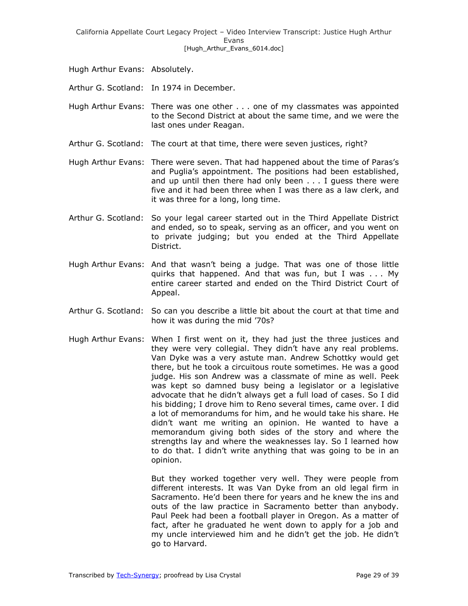Hugh Arthur Evans: Absolutely.

Arthur G. Scotland: In 1974 in December.

Hugh Arthur Evans: There was one other . . . one of my classmates was appointed to the Second District at about the same time, and we were the last ones under Reagan.

Arthur G. Scotland: The court at that time, there were seven justices, right?

Hugh Arthur Evans: There were seven. That had happened about the time of Paras's and Puglia's appointment. The positions had been established, and up until then there had only been . . . I guess there were five and it had been three when I was there as a law clerk, and it was three for a long, long time.

- Arthur G. Scotland: So your legal career started out in the Third Appellate District and ended, so to speak, serving as an officer, and you went on to private judging; but you ended at the Third Appellate District.
- Hugh Arthur Evans: And that wasn't being a judge. That was one of those little quirks that happened. And that was fun, but I was . . . My entire career started and ended on the Third District Court of Appeal.
- Arthur G. Scotland: So can you describe a little bit about the court at that time and how it was during the mid '70s?
- Hugh Arthur Evans: When I first went on it, they had just the three justices and they were very collegial. They didn't have any real problems. Van Dyke was a very astute man. Andrew Schottky would get there, but he took a circuitous route sometimes. He was a good judge. His son Andrew was a classmate of mine as well. Peek was kept so damned busy being a legislator or a legislative advocate that he didn't always get a full load of cases. So I did his bidding; I drove him to Reno several times, came over. I did a lot of memorandums for him, and he would take his share. He didn't want me writing an opinion. He wanted to have a memorandum giving both sides of the story and where the strengths lay and where the weaknesses lay. So I learned how to do that. I didn't write anything that was going to be in an opinion.

But they worked together very well. They were people from different interests. It was Van Dyke from an old legal firm in Sacramento. He'd been there for years and he knew the ins and outs of the law practice in Sacramento better than anybody. Paul Peek had been a football player in Oregon. As a matter of fact, after he graduated he went down to apply for a job and my uncle interviewed him and he didn't get the job. He didn't go to Harvard.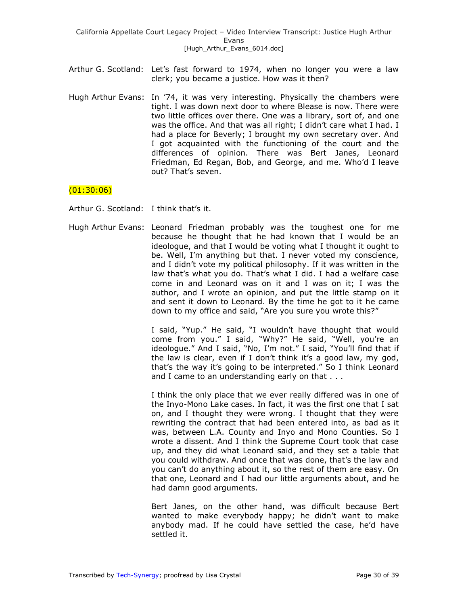- Arthur G. Scotland: Let's fast forward to 1974, when no longer you were a law clerk; you became a justice. How was it then?
- Hugh Arthur Evans: In '74, it was very interesting. Physically the chambers were tight. I was down next door to where Blease is now. There were two little offices over there. One was a library, sort of, and one was the office. And that was all right; I didn't care what I had. I had a place for Beverly; I brought my own secretary over. And I got acquainted with the functioning of the court and the differences of opinion. There was Bert Janes, Leonard Friedman, Ed Regan, Bob, and George, and me. Who'd I leave out? That's seven.

# (01:30:06)

Arthur G. Scotland: I think that's it.

Hugh Arthur Evans: Leonard Friedman probably was the toughest one for me because he thought that he had known that I would be an ideologue, and that I would be voting what I thought it ought to be. Well, I'm anything but that. I never voted my conscience, and I didn't vote my political philosophy. If it was written in the law that's what you do. That's what I did. I had a welfare case come in and Leonard was on it and I was on it; I was the author, and I wrote an opinion, and put the little stamp on it and sent it down to Leonard. By the time he got to it he came down to my office and said, "Are you sure you wrote this?"

> I said, "Yup." He said, "I wouldn't have thought that would come from you." I said, "Why?" He said, "Well, you're an ideologue." And I said, "No, I'm not." I said, "You'll find that if the law is clear, even if I don't think it's a good law, my god, that's the way it's going to be interpreted." So I think Leonard and I came to an understanding early on that . . .

> I think the only place that we ever really differed was in one of the Inyo-Mono Lake cases. In fact, it was the first one that I sat on, and I thought they were wrong. I thought that they were rewriting the contract that had been entered into, as bad as it was, between L.A. County and Inyo and Mono Counties. So I wrote a dissent. And I think the Supreme Court took that case up, and they did what Leonard said, and they set a table that you could withdraw. And once that was done, that's the law and you can't do anything about it, so the rest of them are easy. On that one, Leonard and I had our little arguments about, and he had damn good arguments.

> Bert Janes, on the other hand, was difficult because Bert wanted to make everybody happy; he didn't want to make anybody mad. If he could have settled the case, he'd have settled it.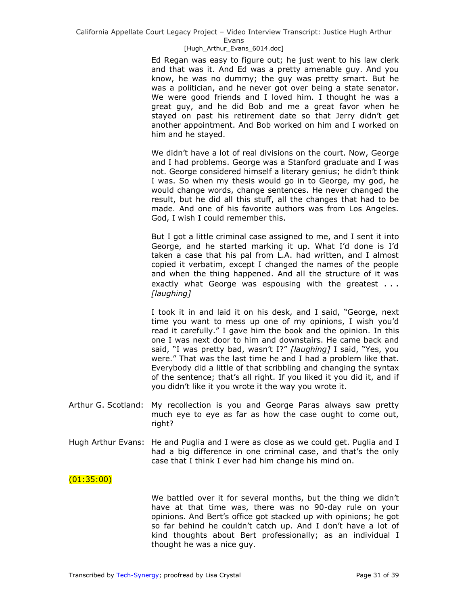#### [Hugh\_Arthur\_Evans\_6014.doc]

Ed Regan was easy to figure out; he just went to his law clerk and that was it. And Ed was a pretty amenable guy. And you know, he was no dummy; the guy was pretty smart. But he was a politician, and he never got over being a state senator. We were good friends and I loved him. I thought he was a great guy, and he did Bob and me a great favor when he stayed on past his retirement date so that Jerry didn't get another appointment. And Bob worked on him and I worked on him and he stayed.

We didn't have a lot of real divisions on the court. Now, George and I had problems. George was a Stanford graduate and I was not. George considered himself a literary genius; he didn't think I was. So when my thesis would go in to George, my god, he would change words, change sentences. He never changed the result, but he did all this stuff, all the changes that had to be made. And one of his favorite authors was from Los Angeles. God, I wish I could remember this.

But I got a little criminal case assigned to me, and I sent it into George, and he started marking it up. What I'd done is I'd taken a case that his pal from L.A. had written, and I almost copied it verbatim, except I changed the names of the people and when the thing happened. And all the structure of it was exactly what George was espousing with the greatest . . . *[laughing]* 

I took it in and laid it on his desk, and I said, "George, next time you want to mess up one of my opinions, I wish you'd read it carefully." I gave him the book and the opinion. In this one I was next door to him and downstairs. He came back and said, "I was pretty bad, wasn't I?" [laughing] I said, "Yes, you were." That was the last time he and I had a problem like that. Everybody did a little of that scribbling and changing the syntax of the sentence; that's all right. If you liked it you did it, and if you didn't like it you wrote it the way you wrote it.

- Arthur G. Scotland: My recollection is you and George Paras always saw pretty much eye to eye as far as how the case ought to come out, right?
- Hugh Arthur Evans: He and Puglia and I were as close as we could get. Puglia and I had a big difference in one criminal case, and that's the only case that I think I ever had him change his mind on.

## $(01:35:00)$

We battled over it for several months, but the thing we didn't have at that time was, there was no 90-day rule on your opinions. And Bert's office got stacked up with opinions; he got so far behind he couldn't catch up. And I don't have a lot of kind thoughts about Bert professionally; as an individual I thought he was a nice guy.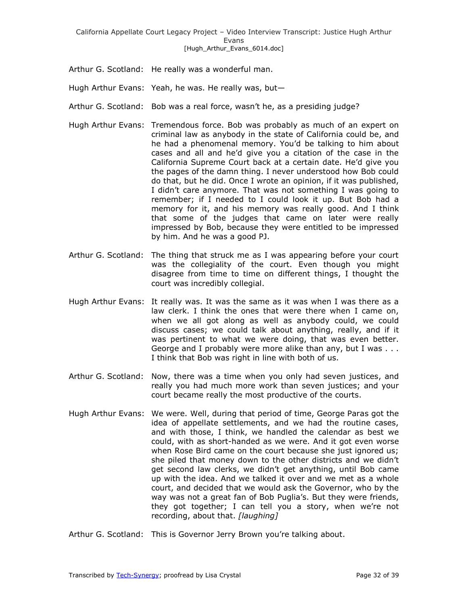- Arthur G. Scotland: He really was a wonderful man.
- Hugh Arthur Evans: Yeah, he was. He really was, but—
- Arthur G. Scotland: Bob was a real force, wasn't he, as a presiding judge?
- Hugh Arthur Evans: Tremendous force. Bob was probably as much of an expert on criminal law as anybody in the state of California could be, and he had a phenomenal memory. You'd be talking to him about cases and all and he'd give you a citation of the case in the California Supreme Court back at a certain date. He'd give you the pages of the damn thing. I never understood how Bob could do that, but he did. Once I wrote an opinion, if it was published, I didn't care anymore. That was not something I was going to remember; if I needed to I could look it up. But Bob had a memory for it, and his memory was really good. And I think that some of the judges that came on later were really impressed by Bob, because they were entitled to be impressed by him. And he was a good PJ.
- Arthur G. Scotland: The thing that struck me as I was appearing before your court was the collegiality of the court. Even though you might disagree from time to time on different things, I thought the court was incredibly collegial.
- Hugh Arthur Evans: It really was. It was the same as it was when I was there as a law clerk. I think the ones that were there when I came on, when we all got along as well as anybody could, we could discuss cases; we could talk about anything, really, and if it was pertinent to what we were doing, that was even better. George and I probably were more alike than any, but I was . . . I think that Bob was right in line with both of us.
- Arthur G. Scotland: Now, there was a time when you only had seven justices, and really you had much more work than seven justices; and your court became really the most productive of the courts.
- Hugh Arthur Evans: We were. Well, during that period of time, George Paras got the idea of appellate settlements, and we had the routine cases, and with those, I think, we handled the calendar as best we could, with as short-handed as we were. And it got even worse when Rose Bird came on the court because she just ignored us; she piled that money down to the other districts and we didn't get second law clerks, we didn't get anything, until Bob came up with the idea. And we talked it over and we met as a whole court, and decided that we would ask the Governor, who by the way was not a great fan of Bob Puglia's. But they were friends, they got together; I can tell you a story, when we're not recording, about that. *[laughing]*

Arthur G. Scotland: This is Governor Jerry Brown you're talking about.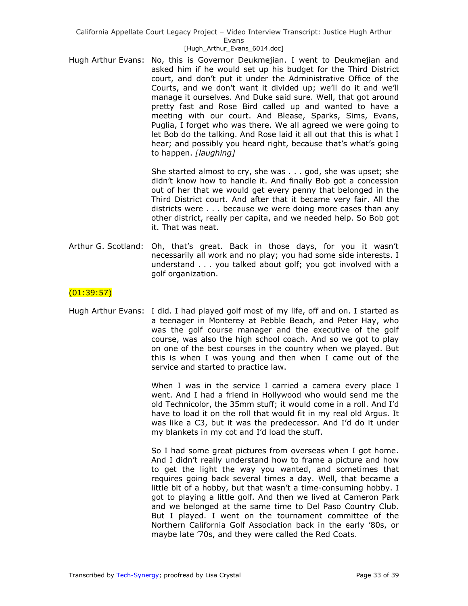### [Hugh\_Arthur\_Evans\_6014.doc]

Hugh Arthur Evans: No, this is Governor Deukmejian. I went to Deukmejian and asked him if he would set up his budget for the Third District court, and don't put it under the Administrative Office of the Courts, and we don't want it divided up; we'll do it and we'll manage it ourselves. And Duke said sure. Well, that got around pretty fast and Rose Bird called up and wanted to have a meeting with our court. And Blease, Sparks, Sims, Evans, Puglia, I forget who was there. We all agreed we were going to let Bob do the talking. And Rose laid it all out that this is what I hear; and possibly you heard right, because that's what's going to happen. *[laughing]* 

> She started almost to cry, she was . . . god, she was upset; she didn't know how to handle it. And finally Bob got a concession out of her that we would get every penny that belonged in the Third District court. And after that it became very fair. All the districts were . . . because we were doing more cases than any other district, really per capita, and we needed help. So Bob got it. That was neat.

Arthur G. Scotland: Oh, that's great. Back in those days, for you it wasn't necessarily all work and no play; you had some side interests. I understand . . . you talked about golf; you got involved with a golf organization.

## $(01:39:57)$

Hugh Arthur Evans: I did. I had played golf most of my life, off and on. I started as a teenager in Monterey at Pebble Beach, and Peter Hay, who was the golf course manager and the executive of the golf course, was also the high school coach. And so we got to play on one of the best courses in the country when we played. But this is when I was young and then when I came out of the service and started to practice law.

> When I was in the service I carried a camera every place I went. And I had a friend in Hollywood who would send me the old Technicolor, the 35mm stuff; it would come in a roll. And I'd have to load it on the roll that would fit in my real old Argus. It was like a C3, but it was the predecessor. And I'd do it under my blankets in my cot and I'd load the stuff.

> So I had some great pictures from overseas when I got home. And I didn't really understand how to frame a picture and how to get the light the way you wanted, and sometimes that requires going back several times a day. Well, that became a little bit of a hobby, but that wasn't a time-consuming hobby. I got to playing a little golf. And then we lived at Cameron Park and we belonged at the same time to Del Paso Country Club. But I played. I went on the tournament committee of the Northern California Golf Association back in the early '80s, or maybe late '70s, and they were called the Red Coats.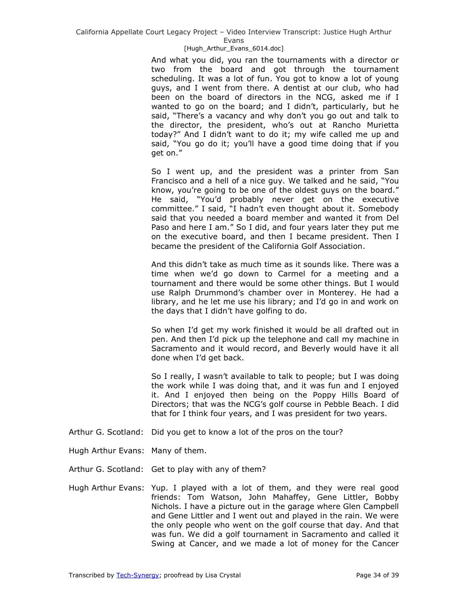#### [Hugh\_Arthur\_Evans\_6014.doc]

And what you did, you ran the tournaments with a director or two from the board and got through the tournament scheduling. It was a lot of fun. You got to know a lot of young guys, and I went from there. A dentist at our club, who had been on the board of directors in the NCG, asked me if I wanted to go on the board; and I didn't, particularly, but he said, "There's a vacancy and why don't you go out and talk to the director, the president, who's out at Rancho Murietta today?" And I didn't want to do it; my wife called me up and said, "You go do it; you'll have a good time doing that if you get on."

So I went up, and the president was a printer from San Francisco and a hell of a nice guy. We talked and he said, "You know, you're going to be one of the oldest guys on the board." He said, ―You'd probably never get on the executive committee." I said, "I hadn't even thought about it. Somebody said that you needed a board member and wanted it from Del Paso and here I am." So I did, and four years later they put me on the executive board, and then I became president. Then I became the president of the California Golf Association.

And this didn't take as much time as it sounds like. There was a time when we'd go down to Carmel for a meeting and a tournament and there would be some other things. But I would use Ralph Drummond's chamber over in Monterey. He had a library, and he let me use his library; and I'd go in and work on the days that I didn't have golfing to do.

So when I'd get my work finished it would be all drafted out in pen. And then I'd pick up the telephone and call my machine in Sacramento and it would record, and Beverly would have it all done when I'd get back.

So I really, I wasn't available to talk to people; but I was doing the work while I was doing that, and it was fun and I enjoyed it. And I enjoyed then being on the Poppy Hills Board of Directors; that was the NCG's golf course in Pebble Beach. I did that for I think four years, and I was president for two years.

- Arthur G. Scotland: Did you get to know a lot of the pros on the tour?
- Hugh Arthur Evans: Many of them.
- Arthur G. Scotland: Get to play with any of them?
- Hugh Arthur Evans: Yup. I played with a lot of them, and they were real good friends: Tom Watson, John Mahaffey, Gene Littler, Bobby Nichols. I have a picture out in the garage where Glen Campbell and Gene Littler and I went out and played in the rain. We were the only people who went on the golf course that day. And that was fun. We did a golf tournament in Sacramento and called it Swing at Cancer, and we made a lot of money for the Cancer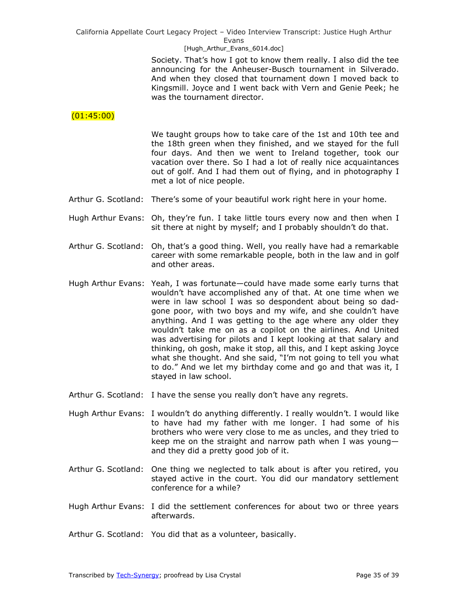[Hugh\_Arthur\_Evans\_6014.doc]

Society. That's how I got to know them really. I also did the tee announcing for the Anheuser-Busch tournament in Silverado. And when they closed that tournament down I moved back to Kingsmill. Joyce and I went back with Vern and Genie Peek; he was the tournament director.

# (01:45:00)

We taught groups how to take care of the 1st and 10th tee and the 18th green when they finished, and we stayed for the full four days. And then we went to Ireland together, took our vacation over there. So I had a lot of really nice acquaintances out of golf. And I had them out of flying, and in photography I met a lot of nice people.

- Arthur G. Scotland: There's some of your beautiful work right here in your home.
- Hugh Arthur Evans: Oh, they're fun. I take little tours every now and then when I sit there at night by myself; and I probably shouldn't do that.
- Arthur G. Scotland: Oh, that's a good thing. Well, you really have had a remarkable career with some remarkable people, both in the law and in golf and other areas.
- Hugh Arthur Evans: Yeah, I was fortunate—could have made some early turns that wouldn't have accomplished any of that. At one time when we were in law school I was so despondent about being so dadgone poor, with two boys and my wife, and she couldn't have anything. And I was getting to the age where any older they wouldn't take me on as a copilot on the airlines. And United was advertising for pilots and I kept looking at that salary and thinking, oh gosh, make it stop, all this, and I kept asking Joyce what she thought. And she said, "I'm not going to tell you what to do." And we let my birthday come and go and that was it, I stayed in law school.
- Arthur G. Scotland: I have the sense you really don't have any regrets.
- Hugh Arthur Evans: I wouldn't do anything differently. I really wouldn't. I would like to have had my father with me longer. I had some of his brothers who were very close to me as uncles, and they tried to keep me on the straight and narrow path when I was young and they did a pretty good job of it.
- Arthur G. Scotland: One thing we neglected to talk about is after you retired, you stayed active in the court. You did our mandatory settlement conference for a while?
- Hugh Arthur Evans: I did the settlement conferences for about two or three years afterwards.
- Arthur G. Scotland: You did that as a volunteer, basically.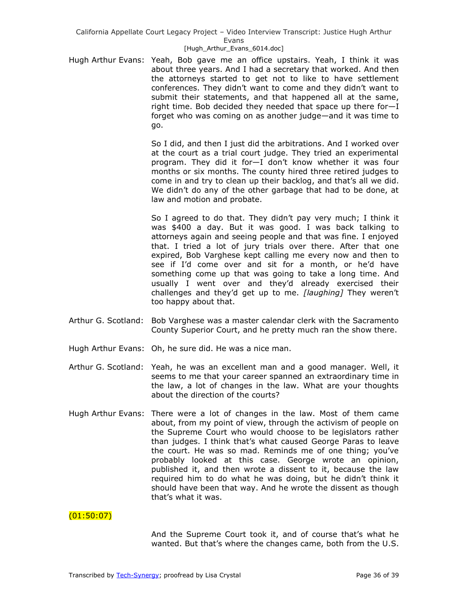### [Hugh\_Arthur\_Evans\_6014.doc]

Hugh Arthur Evans: Yeah, Bob gave me an office upstairs. Yeah, I think it was about three years. And I had a secretary that worked. And then the attorneys started to get not to like to have settlement conferences. They didn't want to come and they didn't want to submit their statements, and that happened all at the same, right time. Bob decided they needed that space up there for—I forget who was coming on as another judge—and it was time to go.

> So I did, and then I just did the arbitrations. And I worked over at the court as a trial court judge. They tried an experimental program. They did it for—I don't know whether it was four months or six months. The county hired three retired judges to come in and try to clean up their backlog, and that's all we did. We didn't do any of the other garbage that had to be done, at law and motion and probate.

> So I agreed to do that. They didn't pay very much; I think it was \$400 a day. But it was good. I was back talking to attorneys again and seeing people and that was fine. I enjoyed that. I tried a lot of jury trials over there. After that one expired, Bob Varghese kept calling me every now and then to see if I'd come over and sit for a month, or he'd have something come up that was going to take a long time. And usually I went over and they'd already exercised their challenges and they'd get up to me. *[laughing]* They weren't too happy about that.

- Arthur G. Scotland: Bob Varghese was a master calendar clerk with the Sacramento County Superior Court, and he pretty much ran the show there.
- Hugh Arthur Evans: Oh, he sure did. He was a nice man.
- Arthur G. Scotland: Yeah, he was an excellent man and a good manager. Well, it seems to me that your career spanned an extraordinary time in the law, a lot of changes in the law. What are your thoughts about the direction of the courts?
- Hugh Arthur Evans: There were a lot of changes in the law. Most of them came about, from my point of view, through the activism of people on the Supreme Court who would choose to be legislators rather than judges. I think that's what caused George Paras to leave the court. He was so mad. Reminds me of one thing; you've probably looked at this case. George wrote an opinion, published it, and then wrote a dissent to it, because the law required him to do what he was doing, but he didn't think it should have been that way. And he wrote the dissent as though that's what it was.

## $(01:50:07)$

And the Supreme Court took it, and of course that's what he wanted. But that's where the changes came, both from the U.S.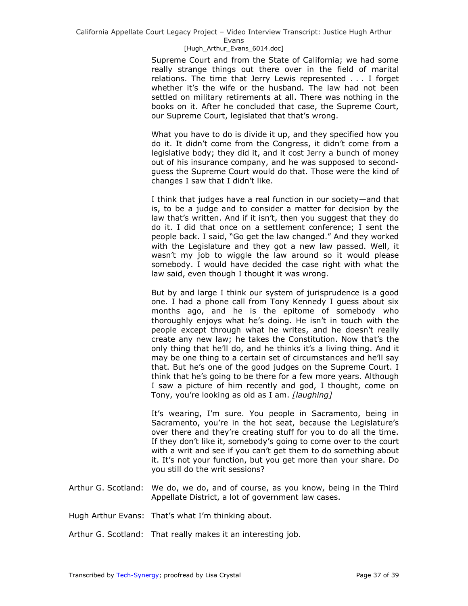### [Hugh\_Arthur\_Evans\_6014.doc]

Supreme Court and from the State of California; we had some really strange things out there over in the field of marital relations. The time that Jerry Lewis represented . . . I forget whether it's the wife or the husband. The law had not been settled on military retirements at all. There was nothing in the books on it. After he concluded that case, the Supreme Court, our Supreme Court, legislated that that's wrong.

What you have to do is divide it up, and they specified how you do it. It didn't come from the Congress, it didn't come from a legislative body; they did it, and it cost Jerry a bunch of money out of his insurance company, and he was supposed to secondguess the Supreme Court would do that. Those were the kind of changes I saw that I didn't like.

I think that judges have a real function in our society—and that is, to be a judge and to consider a matter for decision by the law that's written. And if it isn't, then you suggest that they do do it. I did that once on a settlement conference; I sent the people back. I said, "Go get the law changed." And they worked with the Legislature and they got a new law passed. Well, it wasn't my job to wiggle the law around so it would please somebody. I would have decided the case right with what the law said, even though I thought it was wrong.

But by and large I think our system of jurisprudence is a good one. I had a phone call from Tony Kennedy I guess about six months ago, and he is the epitome of somebody who thoroughly enjoys what he's doing. He isn't in touch with the people except through what he writes, and he doesn't really create any new law; he takes the Constitution. Now that's the only thing that he'll do, and he thinks it's a living thing. And it may be one thing to a certain set of circumstances and he'll say that. But he's one of the good judges on the Supreme Court. I think that he's going to be there for a few more years. Although I saw a picture of him recently and god, I thought, come on Tony, you're looking as old as I am. *[laughing]*

It's wearing, I'm sure. You people in Sacramento, being in Sacramento, you're in the hot seat, because the Legislature's over there and they're creating stuff for you to do all the time. If they don't like it, somebody's going to come over to the court with a writ and see if you can't get them to do something about it. It's not your function, but you get more than your share. Do you still do the writ sessions?

- Arthur G. Scotland: We do, we do, and of course, as you know, being in the Third Appellate District, a lot of government law cases.
- Hugh Arthur Evans: That's what I'm thinking about.
- Arthur G. Scotland: That really makes it an interesting job.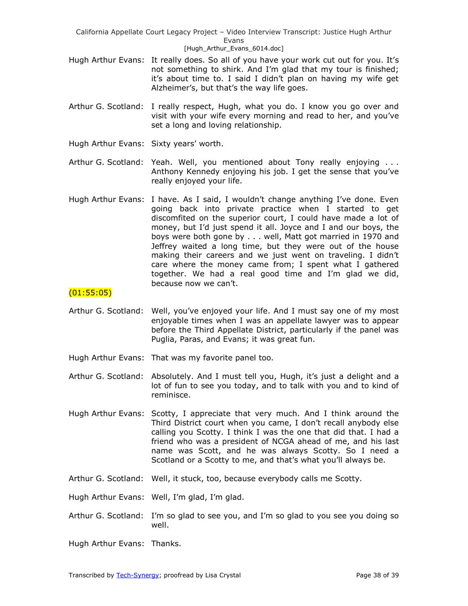- Hugh Arthur Evans: It really does. So all of you have your work cut out for you. It's not something to shirk. And I'm glad that my tour is finished; it's about time to. I said I didn't plan on having my wife get Alzheimer's, but that's the way life goes.
- Arthur G. Scotland: I really respect, Hugh, what you do. I know you go over and visit with your wife every morning and read to her, and you've set a long and loving relationship.
- Hugh Arthur Evans: Sixty years' worth.
- Arthur G. Scotland: Yeah. Well, you mentioned about Tony really enjoying . . . Anthony Kennedy enjoying his job. I get the sense that you've really enjoyed your life.
- Hugh Arthur Evans: I have. As I said, I wouldn't change anything I've done. Even going back into private practice when I started to get discomfited on the superior court, I could have made a lot of money, but I'd just spend it all. Joyce and I and our boys, the boys were both gone by . . . well, Matt got married in 1970 and Jeffrey waited a long time, but they were out of the house making their careers and we just went on traveling. I didn't care where the money came from; I spent what I gathered together. We had a real good time and I'm glad we did, because now we can't.

## (01:55:05)

- Arthur G. Scotland: Well, you've enjoyed your life. And I must say one of my most enjoyable times when I was an appellate lawyer was to appear before the Third Appellate District, particularly if the panel was Puglia, Paras, and Evans; it was great fun.
- Hugh Arthur Evans: That was my favorite panel too.
- Arthur G. Scotland: Absolutely. And I must tell you, Hugh, it's just a delight and a lot of fun to see you today, and to talk with you and to kind of reminisce.
- Hugh Arthur Evans: Scotty, I appreciate that very much. And I think around the Third District court when you came, I don't recall anybody else calling you Scotty. I think I was the one that did that. I had a friend who was a president of NCGA ahead of me, and his last name was Scott, and he was always Scotty. So I need a Scotland or a Scotty to me, and that's what you'll always be.
- Arthur G. Scotland: Well, it stuck, too, because everybody calls me Scotty.

Hugh Arthur Evans: Well, I'm glad, I'm glad.

Arthur G. Scotland: I'm so glad to see you, and I'm so glad to you see you doing so well.

Hugh Arthur Evans: Thanks.